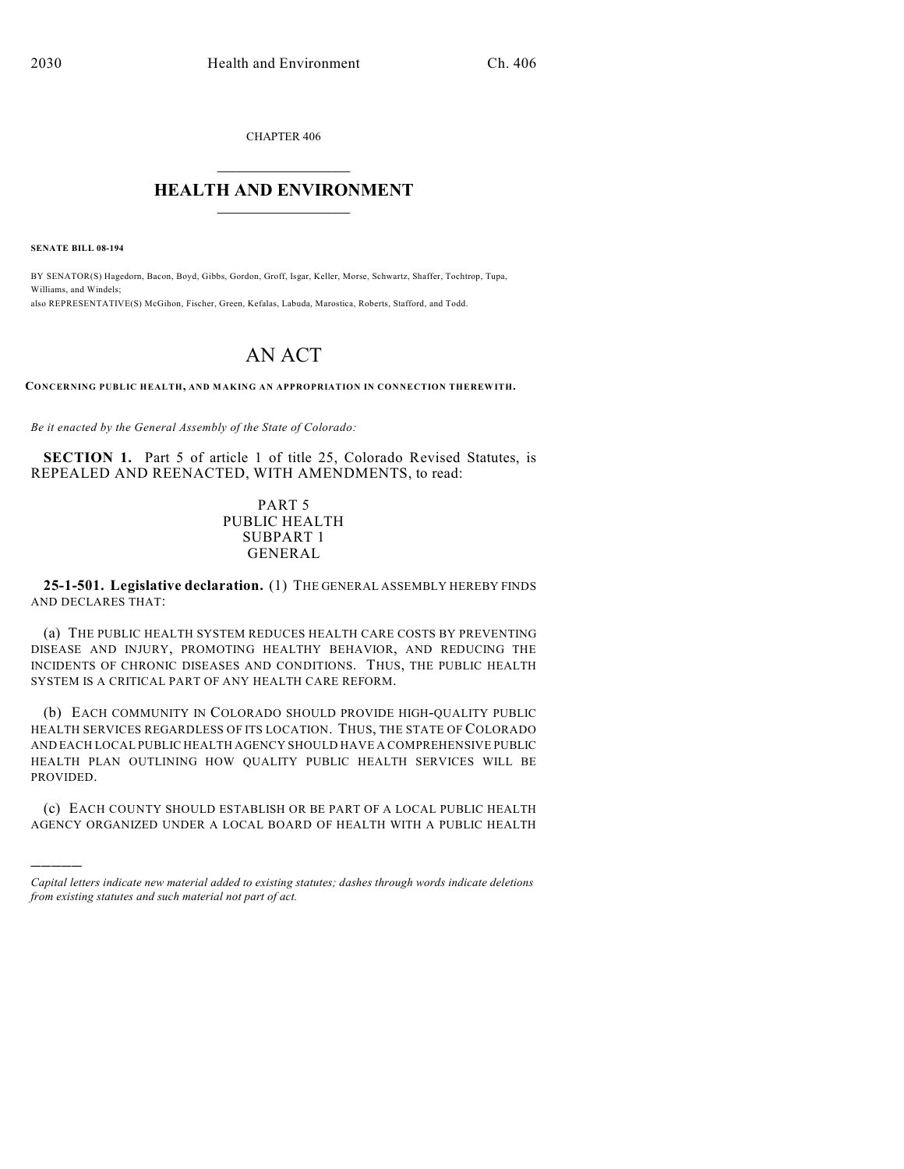CHAPTER 406

## $\mathcal{L}_\text{max}$  . The set of the set of the set of the set of the set of the set of the set of the set of the set of the set of the set of the set of the set of the set of the set of the set of the set of the set of the set **HEALTH AND ENVIRONMENT**  $\_$

**SENATE BILL 08-194**

)))))

BY SENATOR(S) Hagedorn, Bacon, Boyd, Gibbs, Gordon, Groff, Isgar, Keller, Morse, Schwartz, Shaffer, Tochtrop, Tupa, Williams, and Windels; also REPRESENTATIVE(S) McGihon, Fischer, Green, Kefalas, Labuda, Marostica, Roberts, Stafford, and Todd.

# AN ACT

**CONCERNING PUBLIC HEALTH, AND MAKING AN APPROPRIATION IN CONNECTION THEREWITH.**

*Be it enacted by the General Assembly of the State of Colorado:*

**SECTION 1.** Part 5 of article 1 of title 25, Colorado Revised Statutes, is REPEALED AND REENACTED, WITH AMENDMENTS, to read:

#### PART 5 PUBLIC HEALTH SUBPART 1 GENERAL

**25-1-501. Legislative declaration.** (1) THE GENERAL ASSEMBLY HEREBY FINDS AND DECLARES THAT:

(a) THE PUBLIC HEALTH SYSTEM REDUCES HEALTH CARE COSTS BY PREVENTING DISEASE AND INJURY, PROMOTING HEALTHY BEHAVIOR, AND REDUCING THE INCIDENTS OF CHRONIC DISEASES AND CONDITIONS. THUS, THE PUBLIC HEALTH SYSTEM IS A CRITICAL PART OF ANY HEALTH CARE REFORM.

(b) EACH COMMUNITY IN COLORADO SHOULD PROVIDE HIGH-QUALITY PUBLIC HEALTH SERVICES REGARDLESS OF ITS LOCATION. THUS, THE STATE OF COLORADO AND EACH LOCAL PUBLIC HEALTH AGENCY SHOULD HAVE A COMPREHENSIVE PUBLIC HEALTH PLAN OUTLINING HOW QUALITY PUBLIC HEALTH SERVICES WILL BE PROVIDED.

(c) EACH COUNTY SHOULD ESTABLISH OR BE PART OF A LOCAL PUBLIC HEALTH AGENCY ORGANIZED UNDER A LOCAL BOARD OF HEALTH WITH A PUBLIC HEALTH

*Capital letters indicate new material added to existing statutes; dashes through words indicate deletions from existing statutes and such material not part of act.*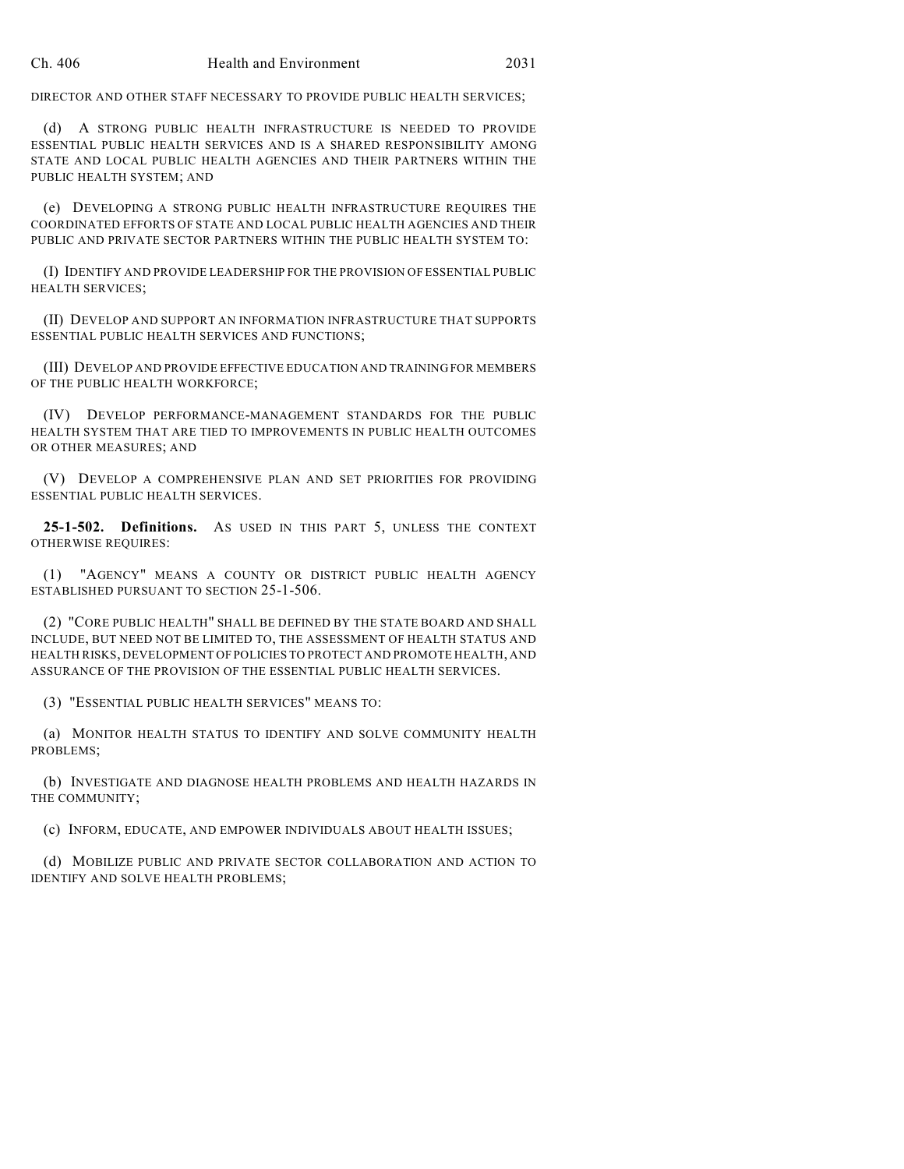DIRECTOR AND OTHER STAFF NECESSARY TO PROVIDE PUBLIC HEALTH SERVICES;

(d) A STRONG PUBLIC HEALTH INFRASTRUCTURE IS NEEDED TO PROVIDE ESSENTIAL PUBLIC HEALTH SERVICES AND IS A SHARED RESPONSIBILITY AMONG STATE AND LOCAL PUBLIC HEALTH AGENCIES AND THEIR PARTNERS WITHIN THE PUBLIC HEALTH SYSTEM; AND

(e) DEVELOPING A STRONG PUBLIC HEALTH INFRASTRUCTURE REQUIRES THE COORDINATED EFFORTS OF STATE AND LOCAL PUBLIC HEALTH AGENCIES AND THEIR PUBLIC AND PRIVATE SECTOR PARTNERS WITHIN THE PUBLIC HEALTH SYSTEM TO:

(I) IDENTIFY AND PROVIDE LEADERSHIP FOR THE PROVISION OF ESSENTIAL PUBLIC HEALTH SERVICES;

(II) DEVELOP AND SUPPORT AN INFORMATION INFRASTRUCTURE THAT SUPPORTS ESSENTIAL PUBLIC HEALTH SERVICES AND FUNCTIONS;

(III) DEVELOP AND PROVIDE EFFECTIVE EDUCATION AND TRAINING FOR MEMBERS OF THE PUBLIC HEALTH WORKFORCE;

(IV) DEVELOP PERFORMANCE-MANAGEMENT STANDARDS FOR THE PUBLIC HEALTH SYSTEM THAT ARE TIED TO IMPROVEMENTS IN PUBLIC HEALTH OUTCOMES OR OTHER MEASURES; AND

(V) DEVELOP A COMPREHENSIVE PLAN AND SET PRIORITIES FOR PROVIDING ESSENTIAL PUBLIC HEALTH SERVICES.

**25-1-502. Definitions.** AS USED IN THIS PART 5, UNLESS THE CONTEXT OTHERWISE REQUIRES:

(1) "AGENCY" MEANS A COUNTY OR DISTRICT PUBLIC HEALTH AGENCY ESTABLISHED PURSUANT TO SECTION 25-1-506.

(2) "CORE PUBLIC HEALTH" SHALL BE DEFINED BY THE STATE BOARD AND SHALL INCLUDE, BUT NEED NOT BE LIMITED TO, THE ASSESSMENT OF HEALTH STATUS AND HEALTH RISKS, DEVELOPMENT OF POLICIES TO PROTECT AND PROMOTE HEALTH, AND ASSURANCE OF THE PROVISION OF THE ESSENTIAL PUBLIC HEALTH SERVICES.

(3) "ESSENTIAL PUBLIC HEALTH SERVICES" MEANS TO:

(a) MONITOR HEALTH STATUS TO IDENTIFY AND SOLVE COMMUNITY HEALTH PROBLEMS;

(b) INVESTIGATE AND DIAGNOSE HEALTH PROBLEMS AND HEALTH HAZARDS IN THE COMMUNITY;

(c) INFORM, EDUCATE, AND EMPOWER INDIVIDUALS ABOUT HEALTH ISSUES;

(d) MOBILIZE PUBLIC AND PRIVATE SECTOR COLLABORATION AND ACTION TO IDENTIFY AND SOLVE HEALTH PROBLEMS;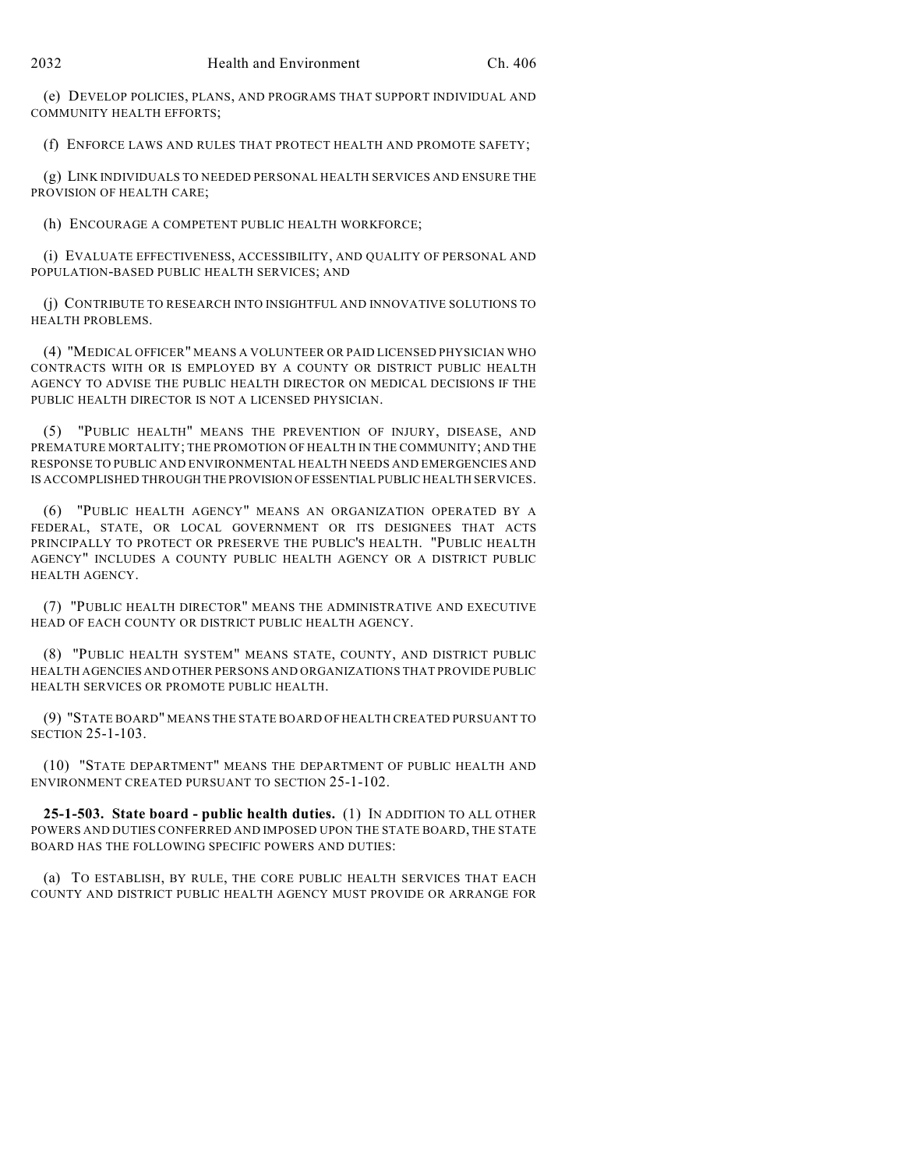(e) DEVELOP POLICIES, PLANS, AND PROGRAMS THAT SUPPORT INDIVIDUAL AND COMMUNITY HEALTH EFFORTS;

(f) ENFORCE LAWS AND RULES THAT PROTECT HEALTH AND PROMOTE SAFETY;

(g) LINK INDIVIDUALS TO NEEDED PERSONAL HEALTH SERVICES AND ENSURE THE PROVISION OF HEALTH CARE;

(h) ENCOURAGE A COMPETENT PUBLIC HEALTH WORKFORCE;

(i) EVALUATE EFFECTIVENESS, ACCESSIBILITY, AND QUALITY OF PERSONAL AND POPULATION-BASED PUBLIC HEALTH SERVICES; AND

(j) CONTRIBUTE TO RESEARCH INTO INSIGHTFUL AND INNOVATIVE SOLUTIONS TO HEALTH PROBLEMS.

(4) "MEDICAL OFFICER" MEANS A VOLUNTEER OR PAID LICENSED PHYSICIAN WHO CONTRACTS WITH OR IS EMPLOYED BY A COUNTY OR DISTRICT PUBLIC HEALTH AGENCY TO ADVISE THE PUBLIC HEALTH DIRECTOR ON MEDICAL DECISIONS IF THE PUBLIC HEALTH DIRECTOR IS NOT A LICENSED PHYSICIAN.

(5) "PUBLIC HEALTH" MEANS THE PREVENTION OF INJURY, DISEASE, AND PREMATURE MORTALITY; THE PROMOTION OF HEALTH IN THE COMMUNITY; AND THE RESPONSE TO PUBLIC AND ENVIRONMENTAL HEALTH NEEDS AND EMERGENCIES AND IS ACCOMPLISHED THROUGH THE PROVISION OF ESSENTIAL PUBLIC HEALTH SERVICES.

(6) "PUBLIC HEALTH AGENCY" MEANS AN ORGANIZATION OPERATED BY A FEDERAL, STATE, OR LOCAL GOVERNMENT OR ITS DESIGNEES THAT ACTS PRINCIPALLY TO PROTECT OR PRESERVE THE PUBLIC'S HEALTH. "PUBLIC HEALTH AGENCY" INCLUDES A COUNTY PUBLIC HEALTH AGENCY OR A DISTRICT PUBLIC HEALTH AGENCY.

(7) "PUBLIC HEALTH DIRECTOR" MEANS THE ADMINISTRATIVE AND EXECUTIVE HEAD OF EACH COUNTY OR DISTRICT PUBLIC HEALTH AGENCY.

(8) "PUBLIC HEALTH SYSTEM" MEANS STATE, COUNTY, AND DISTRICT PUBLIC HEALTH AGENCIES AND OTHER PERSONS AND ORGANIZATIONS THAT PROVIDE PUBLIC HEALTH SERVICES OR PROMOTE PUBLIC HEALTH.

(9) "STATE BOARD" MEANS THE STATE BOARD OF HEALTH CREATED PURSUANT TO SECTION 25-1-103.

(10) "STATE DEPARTMENT" MEANS THE DEPARTMENT OF PUBLIC HEALTH AND ENVIRONMENT CREATED PURSUANT TO SECTION 25-1-102.

**25-1-503. State board - public health duties.** (1) IN ADDITION TO ALL OTHER POWERS AND DUTIES CONFERRED AND IMPOSED UPON THE STATE BOARD, THE STATE BOARD HAS THE FOLLOWING SPECIFIC POWERS AND DUTIES:

(a) TO ESTABLISH, BY RULE, THE CORE PUBLIC HEALTH SERVICES THAT EACH COUNTY AND DISTRICT PUBLIC HEALTH AGENCY MUST PROVIDE OR ARRANGE FOR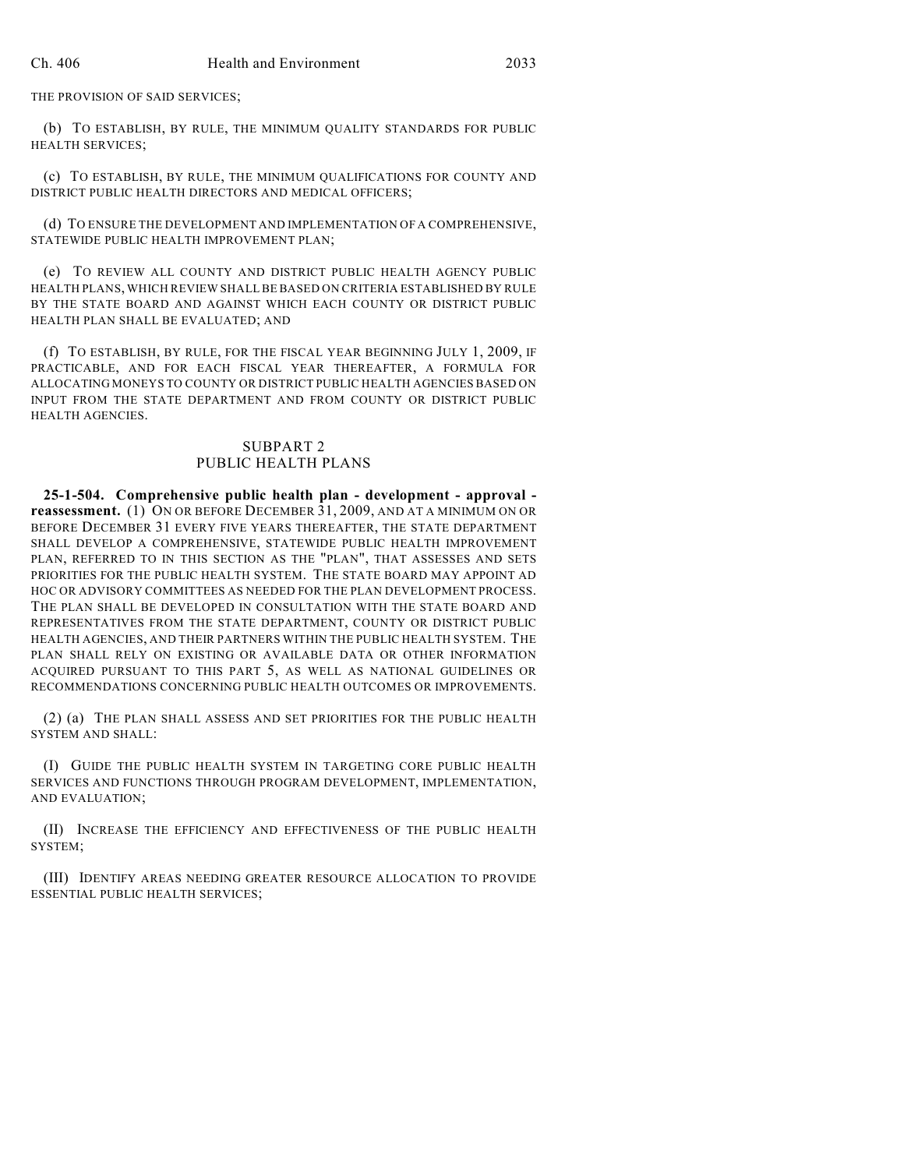THE PROVISION OF SAID SERVICES;

(b) TO ESTABLISH, BY RULE, THE MINIMUM QUALITY STANDARDS FOR PUBLIC HEALTH SERVICES;

(c) TO ESTABLISH, BY RULE, THE MINIMUM QUALIFICATIONS FOR COUNTY AND DISTRICT PUBLIC HEALTH DIRECTORS AND MEDICAL OFFICERS;

(d) TO ENSURE THE DEVELOPMENT AND IMPLEMENTATION OF A COMPREHENSIVE, STATEWIDE PUBLIC HEALTH IMPROVEMENT PLAN;

(e) TO REVIEW ALL COUNTY AND DISTRICT PUBLIC HEALTH AGENCY PUBLIC HEALTH PLANS, WHICH REVIEW SHALL BE BASED ON CRITERIA ESTABLISHED BY RULE BY THE STATE BOARD AND AGAINST WHICH EACH COUNTY OR DISTRICT PUBLIC HEALTH PLAN SHALL BE EVALUATED; AND

(f) TO ESTABLISH, BY RULE, FOR THE FISCAL YEAR BEGINNING JULY 1, 2009, IF PRACTICABLE, AND FOR EACH FISCAL YEAR THEREAFTER, A FORMULA FOR ALLOCATING MONEYS TO COUNTY OR DISTRICT PUBLIC HEALTH AGENCIES BASED ON INPUT FROM THE STATE DEPARTMENT AND FROM COUNTY OR DISTRICT PUBLIC HEALTH AGENCIES.

#### SUBPART 2 PUBLIC HEALTH PLANS

**25-1-504. Comprehensive public health plan - development - approval reassessment.** (1) ON OR BEFORE DECEMBER 31, 2009, AND AT A MINIMUM ON OR BEFORE DECEMBER 31 EVERY FIVE YEARS THEREAFTER, THE STATE DEPARTMENT SHALL DEVELOP A COMPREHENSIVE, STATEWIDE PUBLIC HEALTH IMPROVEMENT PLAN, REFERRED TO IN THIS SECTION AS THE "PLAN", THAT ASSESSES AND SETS PRIORITIES FOR THE PUBLIC HEALTH SYSTEM. THE STATE BOARD MAY APPOINT AD HOC OR ADVISORY COMMITTEES AS NEEDED FOR THE PLAN DEVELOPMENT PROCESS. THE PLAN SHALL BE DEVELOPED IN CONSULTATION WITH THE STATE BOARD AND REPRESENTATIVES FROM THE STATE DEPARTMENT, COUNTY OR DISTRICT PUBLIC HEALTH AGENCIES, AND THEIR PARTNERS WITHIN THE PUBLIC HEALTH SYSTEM. THE PLAN SHALL RELY ON EXISTING OR AVAILABLE DATA OR OTHER INFORMATION ACQUIRED PURSUANT TO THIS PART 5, AS WELL AS NATIONAL GUIDELINES OR RECOMMENDATIONS CONCERNING PUBLIC HEALTH OUTCOMES OR IMPROVEMENTS.

(2) (a) THE PLAN SHALL ASSESS AND SET PRIORITIES FOR THE PUBLIC HEALTH SYSTEM AND SHALL:

(I) GUIDE THE PUBLIC HEALTH SYSTEM IN TARGETING CORE PUBLIC HEALTH SERVICES AND FUNCTIONS THROUGH PROGRAM DEVELOPMENT, IMPLEMENTATION, AND EVALUATION;

(II) INCREASE THE EFFICIENCY AND EFFECTIVENESS OF THE PUBLIC HEALTH SYSTEM;

(III) IDENTIFY AREAS NEEDING GREATER RESOURCE ALLOCATION TO PROVIDE ESSENTIAL PUBLIC HEALTH SERVICES;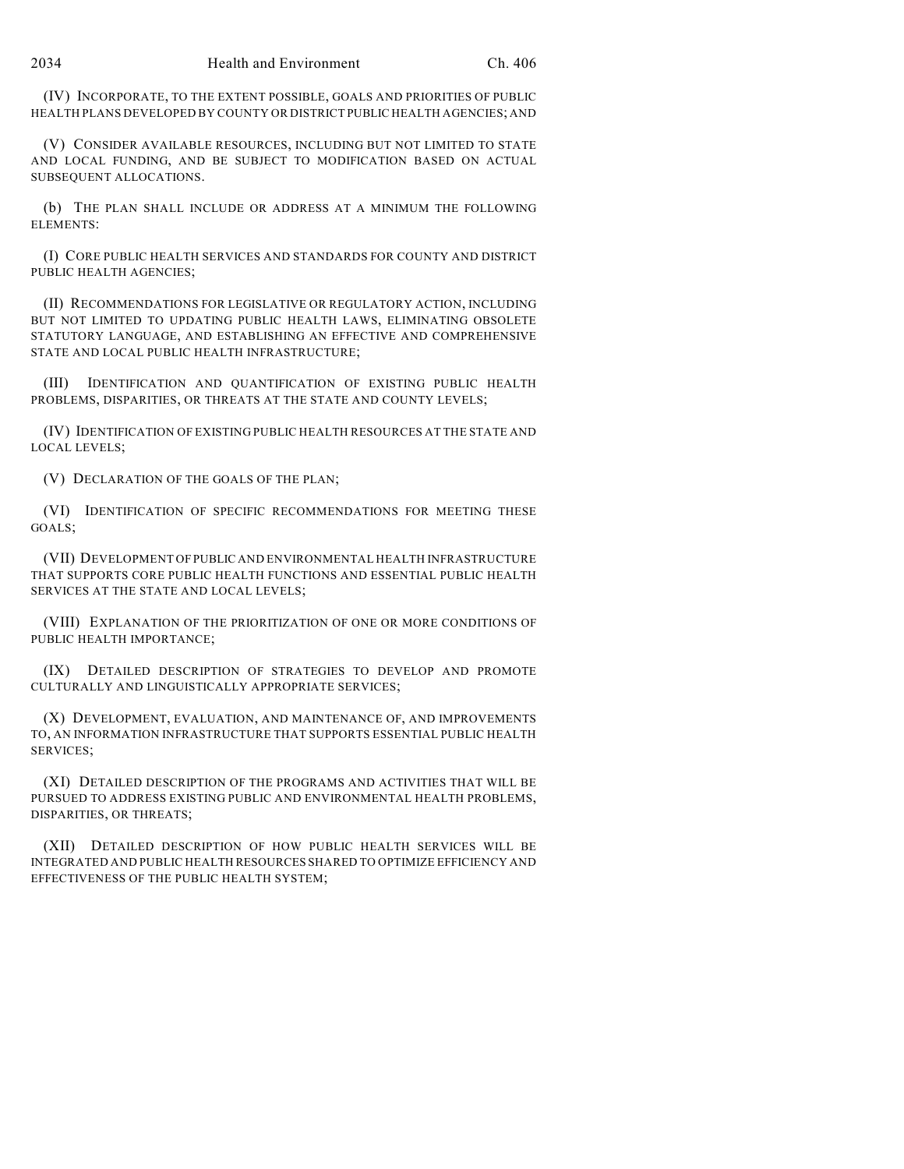(IV) INCORPORATE, TO THE EXTENT POSSIBLE, GOALS AND PRIORITIES OF PUBLIC HEALTH PLANS DEVELOPED BY COUNTY OR DISTRICT PUBLIC HEALTH AGENCIES; AND

(V) CONSIDER AVAILABLE RESOURCES, INCLUDING BUT NOT LIMITED TO STATE AND LOCAL FUNDING, AND BE SUBJECT TO MODIFICATION BASED ON ACTUAL SUBSEQUENT ALLOCATIONS.

(b) THE PLAN SHALL INCLUDE OR ADDRESS AT A MINIMUM THE FOLLOWING ELEMENTS:

(I) CORE PUBLIC HEALTH SERVICES AND STANDARDS FOR COUNTY AND DISTRICT PUBLIC HEALTH AGENCIES;

(II) RECOMMENDATIONS FOR LEGISLATIVE OR REGULATORY ACTION, INCLUDING BUT NOT LIMITED TO UPDATING PUBLIC HEALTH LAWS, ELIMINATING OBSOLETE STATUTORY LANGUAGE, AND ESTABLISHING AN EFFECTIVE AND COMPREHENSIVE STATE AND LOCAL PUBLIC HEALTH INFRASTRUCTURE;

(III) IDENTIFICATION AND QUANTIFICATION OF EXISTING PUBLIC HEALTH PROBLEMS, DISPARITIES, OR THREATS AT THE STATE AND COUNTY LEVELS;

(IV) IDENTIFICATION OF EXISTING PUBLIC HEALTH RESOURCES AT THE STATE AND LOCAL LEVELS;

(V) DECLARATION OF THE GOALS OF THE PLAN;

(VI) IDENTIFICATION OF SPECIFIC RECOMMENDATIONS FOR MEETING THESE GOALS;

(VII) DEVELOPMENT OF PUBLIC AND ENVIRONMENTAL HEALTH INFRASTRUCTURE THAT SUPPORTS CORE PUBLIC HEALTH FUNCTIONS AND ESSENTIAL PUBLIC HEALTH SERVICES AT THE STATE AND LOCAL LEVELS;

(VIII) EXPLANATION OF THE PRIORITIZATION OF ONE OR MORE CONDITIONS OF PUBLIC HEALTH IMPORTANCE;

(IX) DETAILED DESCRIPTION OF STRATEGIES TO DEVELOP AND PROMOTE CULTURALLY AND LINGUISTICALLY APPROPRIATE SERVICES;

(X) DEVELOPMENT, EVALUATION, AND MAINTENANCE OF, AND IMPROVEMENTS TO, AN INFORMATION INFRASTRUCTURE THAT SUPPORTS ESSENTIAL PUBLIC HEALTH SERVICES;

(XI) DETAILED DESCRIPTION OF THE PROGRAMS AND ACTIVITIES THAT WILL BE PURSUED TO ADDRESS EXISTING PUBLIC AND ENVIRONMENTAL HEALTH PROBLEMS, DISPARITIES, OR THREATS;

(XII) DETAILED DESCRIPTION OF HOW PUBLIC HEALTH SERVICES WILL BE INTEGRATED AND PUBLIC HEALTH RESOURCES SHARED TO OPTIMIZE EFFICIENCY AND EFFECTIVENESS OF THE PUBLIC HEALTH SYSTEM;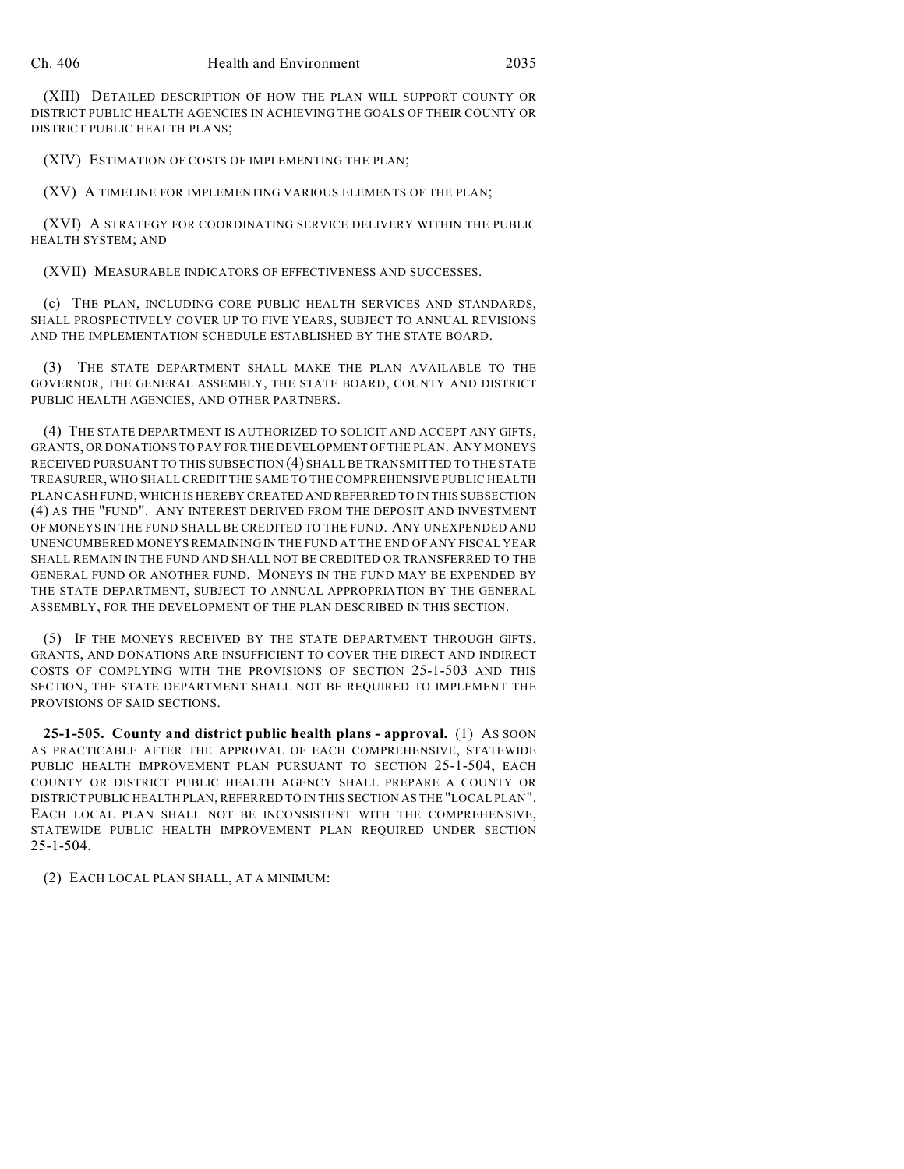(XIII) DETAILED DESCRIPTION OF HOW THE PLAN WILL SUPPORT COUNTY OR DISTRICT PUBLIC HEALTH AGENCIES IN ACHIEVING THE GOALS OF THEIR COUNTY OR DISTRICT PUBLIC HEALTH PLANS;

(XIV) ESTIMATION OF COSTS OF IMPLEMENTING THE PLAN;

(XV) A TIMELINE FOR IMPLEMENTING VARIOUS ELEMENTS OF THE PLAN;

(XVI) A STRATEGY FOR COORDINATING SERVICE DELIVERY WITHIN THE PUBLIC HEALTH SYSTEM; AND

(XVII) MEASURABLE INDICATORS OF EFFECTIVENESS AND SUCCESSES.

(c) THE PLAN, INCLUDING CORE PUBLIC HEALTH SERVICES AND STANDARDS, SHALL PROSPECTIVELY COVER UP TO FIVE YEARS, SUBJECT TO ANNUAL REVISIONS AND THE IMPLEMENTATION SCHEDULE ESTABLISHED BY THE STATE BOARD.

(3) THE STATE DEPARTMENT SHALL MAKE THE PLAN AVAILABLE TO THE GOVERNOR, THE GENERAL ASSEMBLY, THE STATE BOARD, COUNTY AND DISTRICT PUBLIC HEALTH AGENCIES, AND OTHER PARTNERS.

(4) THE STATE DEPARTMENT IS AUTHORIZED TO SOLICIT AND ACCEPT ANY GIFTS, GRANTS, OR DONATIONS TO PAY FOR THE DEVELOPMENT OF THE PLAN. ANY MONEYS RECEIVED PURSUANT TO THIS SUBSECTION (4) SHALL BE TRANSMITTED TO THE STATE TREASURER, WHO SHALL CREDIT THE SAME TO THE COMPREHENSIVE PUBLIC HEALTH PLAN CASH FUND, WHICH IS HEREBY CREATED AND REFERRED TO IN THIS SUBSECTION (4) AS THE "FUND". ANY INTEREST DERIVED FROM THE DEPOSIT AND INVESTMENT OF MONEYS IN THE FUND SHALL BE CREDITED TO THE FUND. ANY UNEXPENDED AND UNENCUMBERED MONEYS REMAINING IN THE FUND AT THE END OF ANY FISCAL YEAR SHALL REMAIN IN THE FUND AND SHALL NOT BE CREDITED OR TRANSFERRED TO THE GENERAL FUND OR ANOTHER FUND. MONEYS IN THE FUND MAY BE EXPENDED BY THE STATE DEPARTMENT, SUBJECT TO ANNUAL APPROPRIATION BY THE GENERAL ASSEMBLY, FOR THE DEVELOPMENT OF THE PLAN DESCRIBED IN THIS SECTION.

(5) IF THE MONEYS RECEIVED BY THE STATE DEPARTMENT THROUGH GIFTS, GRANTS, AND DONATIONS ARE INSUFFICIENT TO COVER THE DIRECT AND INDIRECT COSTS OF COMPLYING WITH THE PROVISIONS OF SECTION 25-1-503 AND THIS SECTION, THE STATE DEPARTMENT SHALL NOT BE REQUIRED TO IMPLEMENT THE PROVISIONS OF SAID SECTIONS.

**25-1-505. County and district public health plans - approval.** (1) AS SOON AS PRACTICABLE AFTER THE APPROVAL OF EACH COMPREHENSIVE, STATEWIDE PUBLIC HEALTH IMPROVEMENT PLAN PURSUANT TO SECTION 25-1-504, EACH COUNTY OR DISTRICT PUBLIC HEALTH AGENCY SHALL PREPARE A COUNTY OR DISTRICT PUBLIC HEALTH PLAN, REFERRED TO IN THIS SECTION AS THE "LOCAL PLAN". EACH LOCAL PLAN SHALL NOT BE INCONSISTENT WITH THE COMPREHENSIVE, STATEWIDE PUBLIC HEALTH IMPROVEMENT PLAN REQUIRED UNDER SECTION 25-1-504.

(2) EACH LOCAL PLAN SHALL, AT A MINIMUM: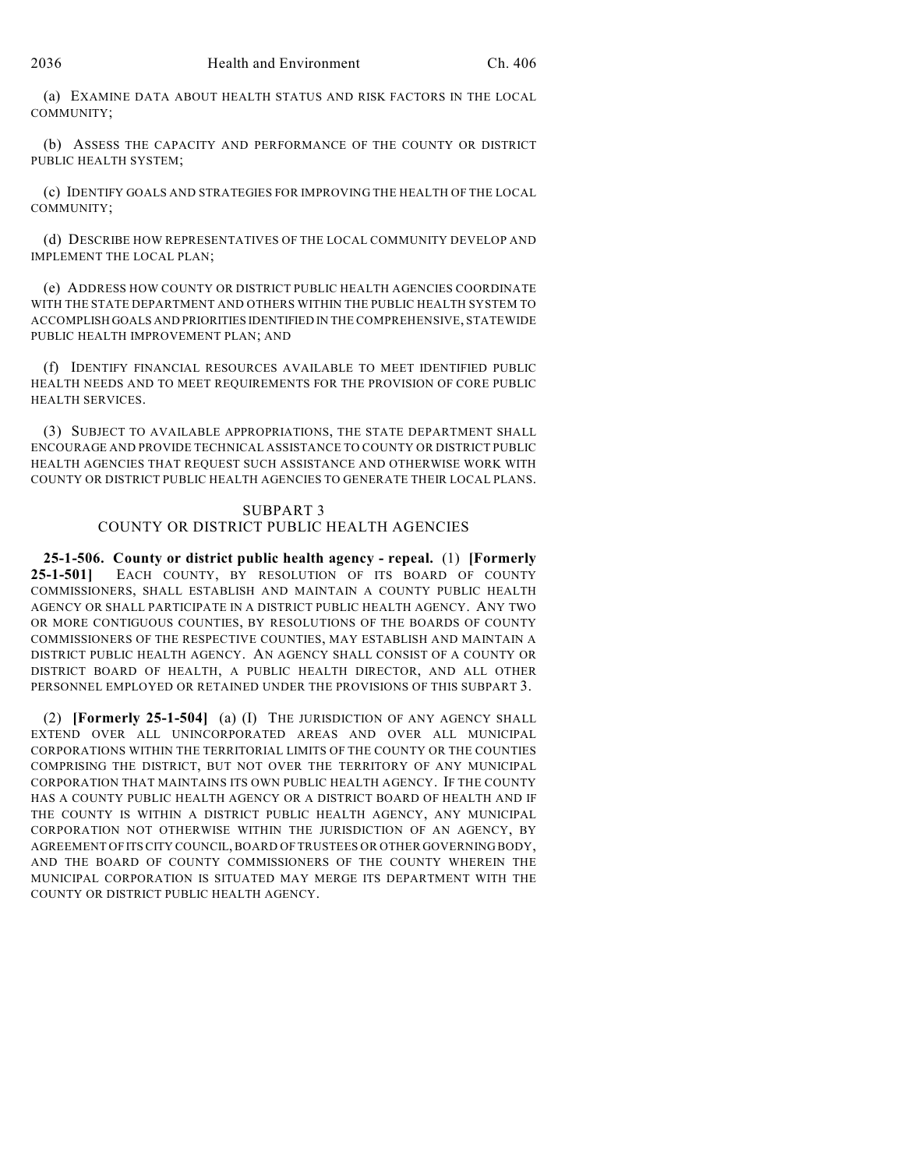(a) EXAMINE DATA ABOUT HEALTH STATUS AND RISK FACTORS IN THE LOCAL COMMUNITY;

(b) ASSESS THE CAPACITY AND PERFORMANCE OF THE COUNTY OR DISTRICT PUBLIC HEALTH SYSTEM;

(c) IDENTIFY GOALS AND STRATEGIES FOR IMPROVING THE HEALTH OF THE LOCAL COMMUNITY;

(d) DESCRIBE HOW REPRESENTATIVES OF THE LOCAL COMMUNITY DEVELOP AND IMPLEMENT THE LOCAL PLAN;

(e) ADDRESS HOW COUNTY OR DISTRICT PUBLIC HEALTH AGENCIES COORDINATE WITH THE STATE DEPARTMENT AND OTHERS WITHIN THE PUBLIC HEALTH SYSTEM TO ACCOMPLISH GOALS AND PRIORITIES IDENTIFIED IN THE COMPREHENSIVE, STATEWIDE PUBLIC HEALTH IMPROVEMENT PLAN; AND

(f) IDENTIFY FINANCIAL RESOURCES AVAILABLE TO MEET IDENTIFIED PUBLIC HEALTH NEEDS AND TO MEET REQUIREMENTS FOR THE PROVISION OF CORE PUBLIC HEALTH SERVICES.

(3) SUBJECT TO AVAILABLE APPROPRIATIONS, THE STATE DEPARTMENT SHALL ENCOURAGE AND PROVIDE TECHNICAL ASSISTANCE TO COUNTY OR DISTRICT PUBLIC HEALTH AGENCIES THAT REQUEST SUCH ASSISTANCE AND OTHERWISE WORK WITH COUNTY OR DISTRICT PUBLIC HEALTH AGENCIES TO GENERATE THEIR LOCAL PLANS.

### SUBPART 3 COUNTY OR DISTRICT PUBLIC HEALTH AGENCIES

**25-1-506. County or district public health agency - repeal.** (1) **[Formerly** EACH COUNTY, BY RESOLUTION OF ITS BOARD OF COUNTY COMMISSIONERS, SHALL ESTABLISH AND MAINTAIN A COUNTY PUBLIC HEALTH AGENCY OR SHALL PARTICIPATE IN A DISTRICT PUBLIC HEALTH AGENCY. ANY TWO OR MORE CONTIGUOUS COUNTIES, BY RESOLUTIONS OF THE BOARDS OF COUNTY COMMISSIONERS OF THE RESPECTIVE COUNTIES, MAY ESTABLISH AND MAINTAIN A DISTRICT PUBLIC HEALTH AGENCY. AN AGENCY SHALL CONSIST OF A COUNTY OR DISTRICT BOARD OF HEALTH, A PUBLIC HEALTH DIRECTOR, AND ALL OTHER PERSONNEL EMPLOYED OR RETAINED UNDER THE PROVISIONS OF THIS SUBPART 3.

(2) **[Formerly 25-1-504]** (a) (I) THE JURISDICTION OF ANY AGENCY SHALL EXTEND OVER ALL UNINCORPORATED AREAS AND OVER ALL MUNICIPAL CORPORATIONS WITHIN THE TERRITORIAL LIMITS OF THE COUNTY OR THE COUNTIES COMPRISING THE DISTRICT, BUT NOT OVER THE TERRITORY OF ANY MUNICIPAL CORPORATION THAT MAINTAINS ITS OWN PUBLIC HEALTH AGENCY. IF THE COUNTY HAS A COUNTY PUBLIC HEALTH AGENCY OR A DISTRICT BOARD OF HEALTH AND IF THE COUNTY IS WITHIN A DISTRICT PUBLIC HEALTH AGENCY, ANY MUNICIPAL CORPORATION NOT OTHERWISE WITHIN THE JURISDICTION OF AN AGENCY, BY AGREEMENT OF ITS CITY COUNCIL, BOARD OF TRUSTEES OR OTHER GOVERNING BODY, AND THE BOARD OF COUNTY COMMISSIONERS OF THE COUNTY WHEREIN THE MUNICIPAL CORPORATION IS SITUATED MAY MERGE ITS DEPARTMENT WITH THE COUNTY OR DISTRICT PUBLIC HEALTH AGENCY.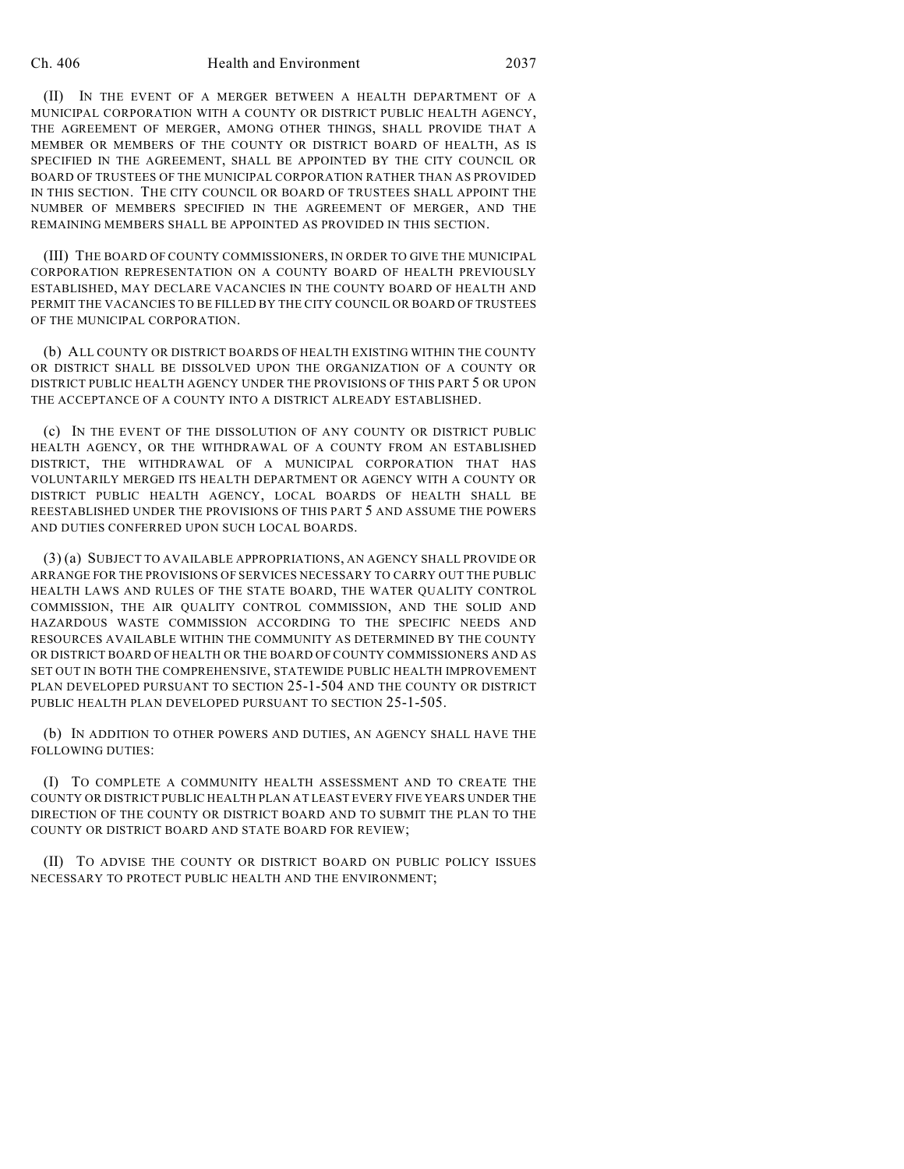#### Ch. 406 Health and Environment 2037

(II) IN THE EVENT OF A MERGER BETWEEN A HEALTH DEPARTMENT OF A MUNICIPAL CORPORATION WITH A COUNTY OR DISTRICT PUBLIC HEALTH AGENCY, THE AGREEMENT OF MERGER, AMONG OTHER THINGS, SHALL PROVIDE THAT A MEMBER OR MEMBERS OF THE COUNTY OR DISTRICT BOARD OF HEALTH, AS IS SPECIFIED IN THE AGREEMENT, SHALL BE APPOINTED BY THE CITY COUNCIL OR BOARD OF TRUSTEES OF THE MUNICIPAL CORPORATION RATHER THAN AS PROVIDED IN THIS SECTION. THE CITY COUNCIL OR BOARD OF TRUSTEES SHALL APPOINT THE NUMBER OF MEMBERS SPECIFIED IN THE AGREEMENT OF MERGER, AND THE REMAINING MEMBERS SHALL BE APPOINTED AS PROVIDED IN THIS SECTION.

(III) THE BOARD OF COUNTY COMMISSIONERS, IN ORDER TO GIVE THE MUNICIPAL CORPORATION REPRESENTATION ON A COUNTY BOARD OF HEALTH PREVIOUSLY ESTABLISHED, MAY DECLARE VACANCIES IN THE COUNTY BOARD OF HEALTH AND PERMIT THE VACANCIES TO BE FILLED BY THE CITY COUNCIL OR BOARD OF TRUSTEES OF THE MUNICIPAL CORPORATION.

(b) ALL COUNTY OR DISTRICT BOARDS OF HEALTH EXISTING WITHIN THE COUNTY OR DISTRICT SHALL BE DISSOLVED UPON THE ORGANIZATION OF A COUNTY OR DISTRICT PUBLIC HEALTH AGENCY UNDER THE PROVISIONS OF THIS PART 5 OR UPON THE ACCEPTANCE OF A COUNTY INTO A DISTRICT ALREADY ESTABLISHED.

(c) IN THE EVENT OF THE DISSOLUTION OF ANY COUNTY OR DISTRICT PUBLIC HEALTH AGENCY, OR THE WITHDRAWAL OF A COUNTY FROM AN ESTABLISHED DISTRICT, THE WITHDRAWAL OF A MUNICIPAL CORPORATION THAT HAS VOLUNTARILY MERGED ITS HEALTH DEPARTMENT OR AGENCY WITH A COUNTY OR DISTRICT PUBLIC HEALTH AGENCY, LOCAL BOARDS OF HEALTH SHALL BE REESTABLISHED UNDER THE PROVISIONS OF THIS PART 5 AND ASSUME THE POWERS AND DUTIES CONFERRED UPON SUCH LOCAL BOARDS.

(3) (a) SUBJECT TO AVAILABLE APPROPRIATIONS, AN AGENCY SHALL PROVIDE OR ARRANGE FOR THE PROVISIONS OF SERVICES NECESSARY TO CARRY OUT THE PUBLIC HEALTH LAWS AND RULES OF THE STATE BOARD, THE WATER QUALITY CONTROL COMMISSION, THE AIR QUALITY CONTROL COMMISSION, AND THE SOLID AND HAZARDOUS WASTE COMMISSION ACCORDING TO THE SPECIFIC NEEDS AND RESOURCES AVAILABLE WITHIN THE COMMUNITY AS DETERMINED BY THE COUNTY OR DISTRICT BOARD OF HEALTH OR THE BOARD OF COUNTY COMMISSIONERS AND AS SET OUT IN BOTH THE COMPREHENSIVE, STATEWIDE PUBLIC HEALTH IMPROVEMENT PLAN DEVELOPED PURSUANT TO SECTION 25-1-504 AND THE COUNTY OR DISTRICT PUBLIC HEALTH PLAN DEVELOPED PURSUANT TO SECTION 25-1-505.

(b) IN ADDITION TO OTHER POWERS AND DUTIES, AN AGENCY SHALL HAVE THE FOLLOWING DUTIES:

(I) TO COMPLETE A COMMUNITY HEALTH ASSESSMENT AND TO CREATE THE COUNTY OR DISTRICT PUBLIC HEALTH PLAN AT LEAST EVERY FIVE YEARS UNDER THE DIRECTION OF THE COUNTY OR DISTRICT BOARD AND TO SUBMIT THE PLAN TO THE COUNTY OR DISTRICT BOARD AND STATE BOARD FOR REVIEW;

(II) TO ADVISE THE COUNTY OR DISTRICT BOARD ON PUBLIC POLICY ISSUES NECESSARY TO PROTECT PUBLIC HEALTH AND THE ENVIRONMENT;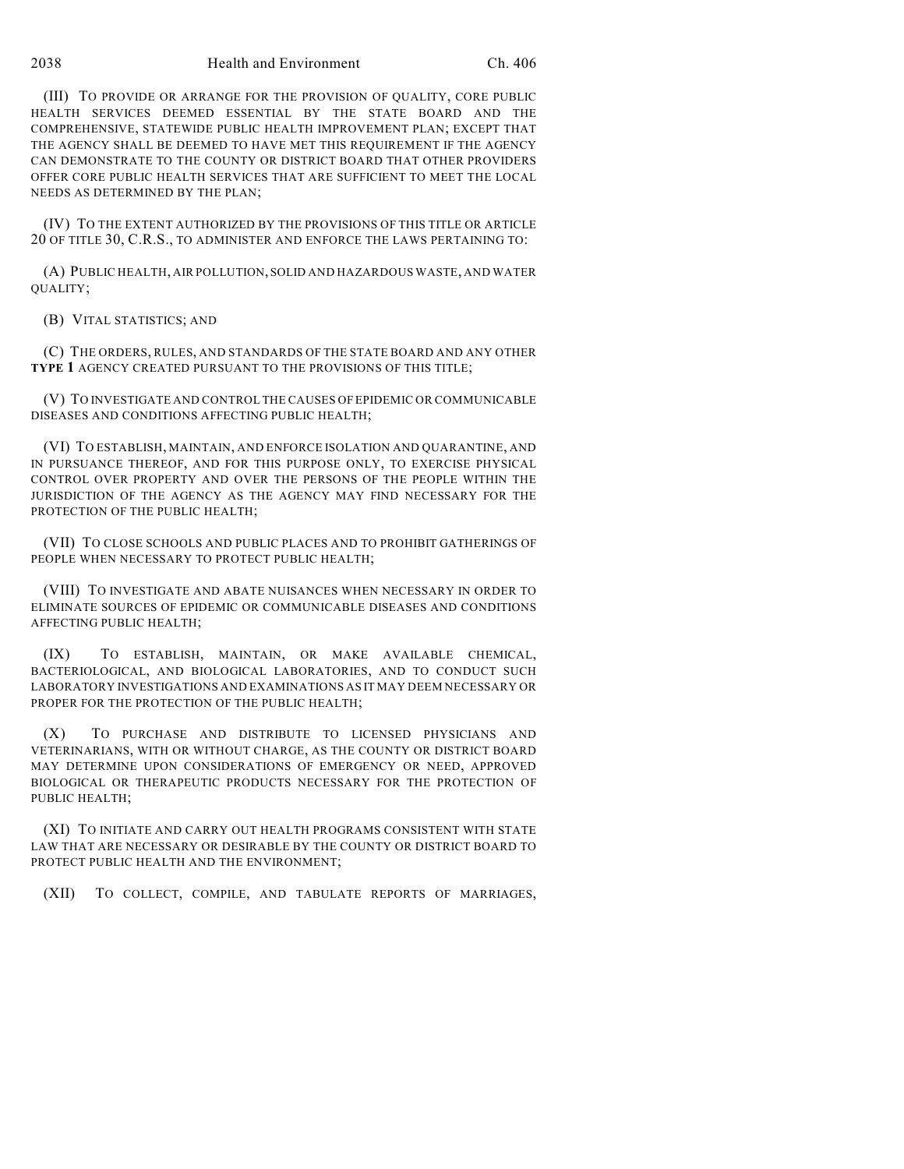(III) TO PROVIDE OR ARRANGE FOR THE PROVISION OF QUALITY, CORE PUBLIC HEALTH SERVICES DEEMED ESSENTIAL BY THE STATE BOARD AND THE COMPREHENSIVE, STATEWIDE PUBLIC HEALTH IMPROVEMENT PLAN; EXCEPT THAT THE AGENCY SHALL BE DEEMED TO HAVE MET THIS REQUIREMENT IF THE AGENCY CAN DEMONSTRATE TO THE COUNTY OR DISTRICT BOARD THAT OTHER PROVIDERS OFFER CORE PUBLIC HEALTH SERVICES THAT ARE SUFFICIENT TO MEET THE LOCAL NEEDS AS DETERMINED BY THE PLAN;

(IV) TO THE EXTENT AUTHORIZED BY THE PROVISIONS OF THIS TITLE OR ARTICLE 20 OF TITLE 30, C.R.S., TO ADMINISTER AND ENFORCE THE LAWS PERTAINING TO:

(A) PUBLIC HEALTH, AIR POLLUTION, SOLID AND HAZARDOUS WASTE, AND WATER QUALITY;

(B) VITAL STATISTICS; AND

(C) THE ORDERS, RULES, AND STANDARDS OF THE STATE BOARD AND ANY OTHER **TYPE 1** AGENCY CREATED PURSUANT TO THE PROVISIONS OF THIS TITLE;

(V) TO INVESTIGATE AND CONTROL THE CAUSES OF EPIDEMIC OR COMMUNICABLE DISEASES AND CONDITIONS AFFECTING PUBLIC HEALTH;

(VI) TO ESTABLISH, MAINTAIN, AND ENFORCE ISOLATION AND QUARANTINE, AND IN PURSUANCE THEREOF, AND FOR THIS PURPOSE ONLY, TO EXERCISE PHYSICAL CONTROL OVER PROPERTY AND OVER THE PERSONS OF THE PEOPLE WITHIN THE JURISDICTION OF THE AGENCY AS THE AGENCY MAY FIND NECESSARY FOR THE PROTECTION OF THE PUBLIC HEALTH:

(VII) TO CLOSE SCHOOLS AND PUBLIC PLACES AND TO PROHIBIT GATHERINGS OF PEOPLE WHEN NECESSARY TO PROTECT PUBLIC HEALTH;

(VIII) TO INVESTIGATE AND ABATE NUISANCES WHEN NECESSARY IN ORDER TO ELIMINATE SOURCES OF EPIDEMIC OR COMMUNICABLE DISEASES AND CONDITIONS AFFECTING PUBLIC HEALTH;

(IX) TO ESTABLISH, MAINTAIN, OR MAKE AVAILABLE CHEMICAL, BACTERIOLOGICAL, AND BIOLOGICAL LABORATORIES, AND TO CONDUCT SUCH LABORATORY INVESTIGATIONS AND EXAMINATIONS AS IT MAY DEEM NECESSARY OR PROPER FOR THE PROTECTION OF THE PUBLIC HEALTH;

(X) TO PURCHASE AND DISTRIBUTE TO LICENSED PHYSICIANS AND VETERINARIANS, WITH OR WITHOUT CHARGE, AS THE COUNTY OR DISTRICT BOARD MAY DETERMINE UPON CONSIDERATIONS OF EMERGENCY OR NEED, APPROVED BIOLOGICAL OR THERAPEUTIC PRODUCTS NECESSARY FOR THE PROTECTION OF PUBLIC HEALTH;

(XI) TO INITIATE AND CARRY OUT HEALTH PROGRAMS CONSISTENT WITH STATE LAW THAT ARE NECESSARY OR DESIRABLE BY THE COUNTY OR DISTRICT BOARD TO PROTECT PUBLIC HEALTH AND THE ENVIRONMENT;

(XII) TO COLLECT, COMPILE, AND TABULATE REPORTS OF MARRIAGES,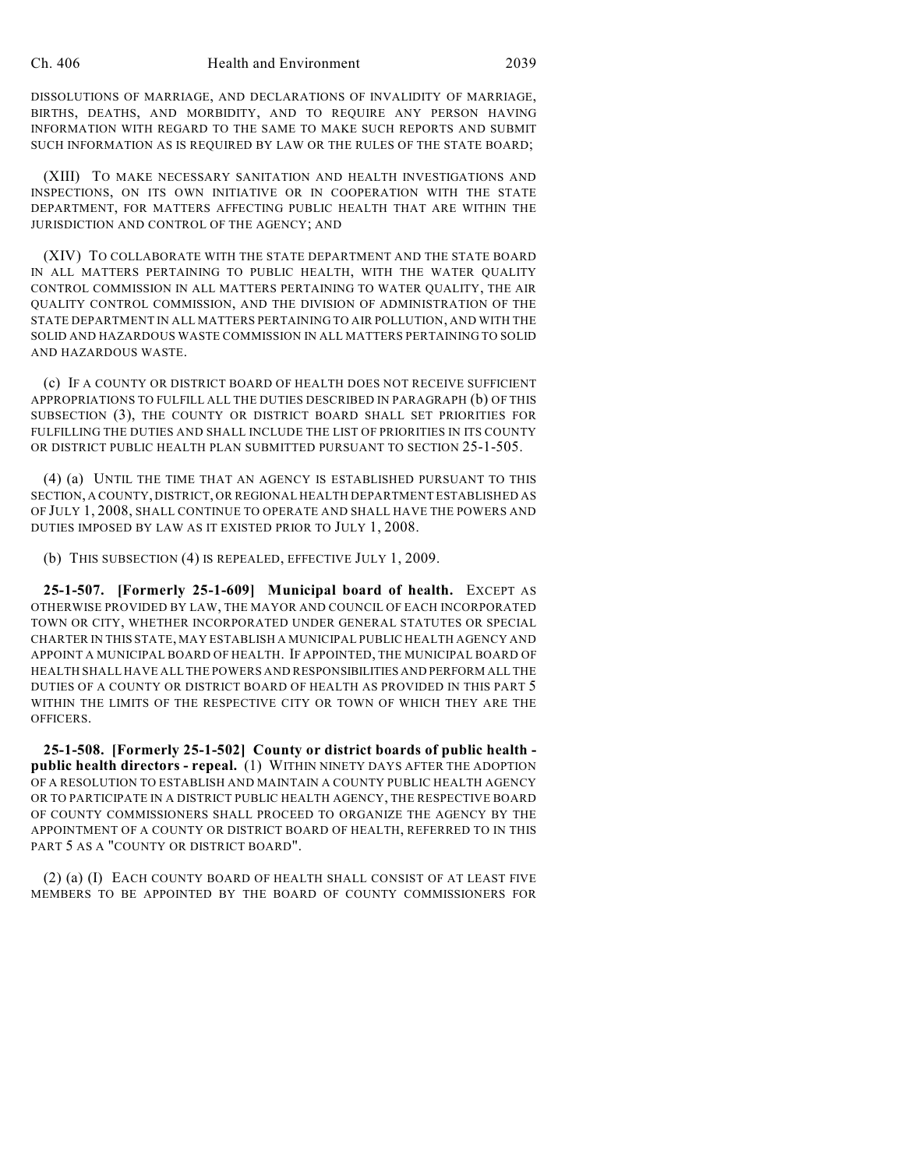DISSOLUTIONS OF MARRIAGE, AND DECLARATIONS OF INVALIDITY OF MARRIAGE, BIRTHS, DEATHS, AND MORBIDITY, AND TO REQUIRE ANY PERSON HAVING INFORMATION WITH REGARD TO THE SAME TO MAKE SUCH REPORTS AND SUBMIT SUCH INFORMATION AS IS REQUIRED BY LAW OR THE RULES OF THE STATE BOARD;

(XIII) TO MAKE NECESSARY SANITATION AND HEALTH INVESTIGATIONS AND INSPECTIONS, ON ITS OWN INITIATIVE OR IN COOPERATION WITH THE STATE DEPARTMENT, FOR MATTERS AFFECTING PUBLIC HEALTH THAT ARE WITHIN THE JURISDICTION AND CONTROL OF THE AGENCY; AND

(XIV) TO COLLABORATE WITH THE STATE DEPARTMENT AND THE STATE BOARD IN ALL MATTERS PERTAINING TO PUBLIC HEALTH, WITH THE WATER QUALITY CONTROL COMMISSION IN ALL MATTERS PERTAINING TO WATER QUALITY, THE AIR QUALITY CONTROL COMMISSION, AND THE DIVISION OF ADMINISTRATION OF THE STATE DEPARTMENT IN ALL MATTERS PERTAINING TO AIR POLLUTION, AND WITH THE SOLID AND HAZARDOUS WASTE COMMISSION IN ALL MATTERS PERTAINING TO SOLID AND HAZARDOUS WASTE.

(c) IF A COUNTY OR DISTRICT BOARD OF HEALTH DOES NOT RECEIVE SUFFICIENT APPROPRIATIONS TO FULFILL ALL THE DUTIES DESCRIBED IN PARAGRAPH (b) OF THIS SUBSECTION (3), THE COUNTY OR DISTRICT BOARD SHALL SET PRIORITIES FOR FULFILLING THE DUTIES AND SHALL INCLUDE THE LIST OF PRIORITIES IN ITS COUNTY OR DISTRICT PUBLIC HEALTH PLAN SUBMITTED PURSUANT TO SECTION 25-1-505.

(4) (a) UNTIL THE TIME THAT AN AGENCY IS ESTABLISHED PURSUANT TO THIS SECTION, A COUNTY, DISTRICT, OR REGIONAL HEALTH DEPARTMENT ESTABLISHED AS OF JULY 1, 2008, SHALL CONTINUE TO OPERATE AND SHALL HAVE THE POWERS AND DUTIES IMPOSED BY LAW AS IT EXISTED PRIOR TO JULY 1, 2008.

(b) THIS SUBSECTION (4) IS REPEALED, EFFECTIVE JULY 1, 2009.

**25-1-507. [Formerly 25-1-609] Municipal board of health.** EXCEPT AS OTHERWISE PROVIDED BY LAW, THE MAYOR AND COUNCIL OF EACH INCORPORATED TOWN OR CITY, WHETHER INCORPORATED UNDER GENERAL STATUTES OR SPECIAL CHARTER IN THIS STATE, MAY ESTABLISH A MUNICIPAL PUBLIC HEALTH AGENCY AND APPOINT A MUNICIPAL BOARD OF HEALTH. IF APPOINTED, THE MUNICIPAL BOARD OF HEALTH SHALL HAVE ALL THE POWERS AND RESPONSIBILITIES AND PERFORM ALL THE DUTIES OF A COUNTY OR DISTRICT BOARD OF HEALTH AS PROVIDED IN THIS PART 5 WITHIN THE LIMITS OF THE RESPECTIVE CITY OR TOWN OF WHICH THEY ARE THE OFFICERS.

**25-1-508. [Formerly 25-1-502] County or district boards of public health public health directors - repeal.** (1) WITHIN NINETY DAYS AFTER THE ADOPTION OF A RESOLUTION TO ESTABLISH AND MAINTAIN A COUNTY PUBLIC HEALTH AGENCY OR TO PARTICIPATE IN A DISTRICT PUBLIC HEALTH AGENCY, THE RESPECTIVE BOARD OF COUNTY COMMISSIONERS SHALL PROCEED TO ORGANIZE THE AGENCY BY THE APPOINTMENT OF A COUNTY OR DISTRICT BOARD OF HEALTH, REFERRED TO IN THIS PART 5 AS A "COUNTY OR DISTRICT BOARD".

(2) (a) (I) EACH COUNTY BOARD OF HEALTH SHALL CONSIST OF AT LEAST FIVE MEMBERS TO BE APPOINTED BY THE BOARD OF COUNTY COMMISSIONERS FOR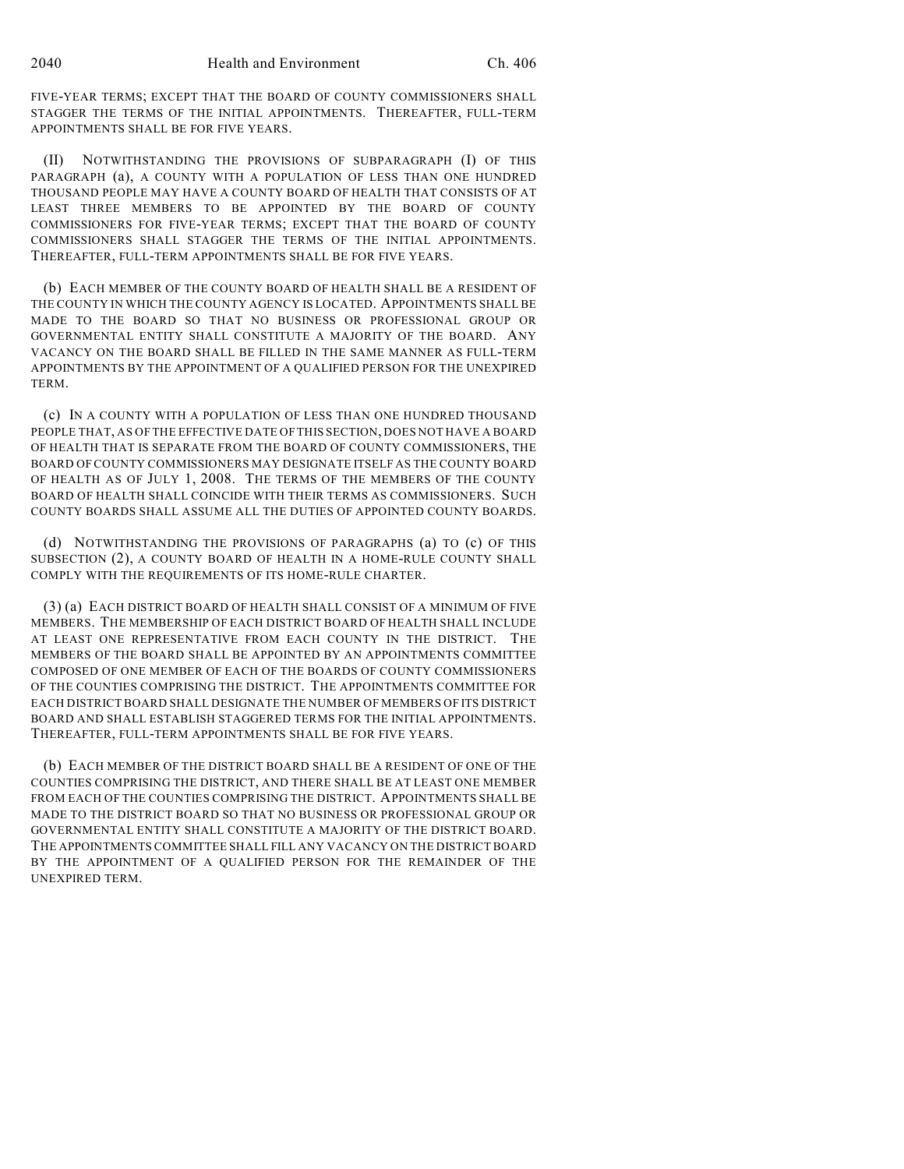FIVE-YEAR TERMS; EXCEPT THAT THE BOARD OF COUNTY COMMISSIONERS SHALL STAGGER THE TERMS OF THE INITIAL APPOINTMENTS. THEREAFTER, FULL-TERM APPOINTMENTS SHALL BE FOR FIVE YEARS.

(II) NOTWITHSTANDING THE PROVISIONS OF SUBPARAGRAPH (I) OF THIS PARAGRAPH (a), A COUNTY WITH A POPULATION OF LESS THAN ONE HUNDRED THOUSAND PEOPLE MAY HAVE A COUNTY BOARD OF HEALTH THAT CONSISTS OF AT LEAST THREE MEMBERS TO BE APPOINTED BY THE BOARD OF COUNTY COMMISSIONERS FOR FIVE-YEAR TERMS; EXCEPT THAT THE BOARD OF COUNTY COMMISSIONERS SHALL STAGGER THE TERMS OF THE INITIAL APPOINTMENTS. THEREAFTER, FULL-TERM APPOINTMENTS SHALL BE FOR FIVE YEARS.

(b) EACH MEMBER OF THE COUNTY BOARD OF HEALTH SHALL BE A RESIDENT OF THE COUNTY IN WHICH THE COUNTY AGENCY IS LOCATED. APPOINTMENTS SHALL BE MADE TO THE BOARD SO THAT NO BUSINESS OR PROFESSIONAL GROUP OR GOVERNMENTAL ENTITY SHALL CONSTITUTE A MAJORITY OF THE BOARD. ANY VACANCY ON THE BOARD SHALL BE FILLED IN THE SAME MANNER AS FULL-TERM APPOINTMENTS BY THE APPOINTMENT OF A QUALIFIED PERSON FOR THE UNEXPIRED TERM.

(c) IN A COUNTY WITH A POPULATION OF LESS THAN ONE HUNDRED THOUSAND PEOPLE THAT, AS OF THE EFFECTIVE DATE OF THIS SECTION, DOES NOT HAVE A BOARD OF HEALTH THAT IS SEPARATE FROM THE BOARD OF COUNTY COMMISSIONERS, THE BOARD OF COUNTY COMMISSIONERS MAY DESIGNATE ITSELF AS THE COUNTY BOARD OF HEALTH AS OF JULY 1, 2008. THE TERMS OF THE MEMBERS OF THE COUNTY BOARD OF HEALTH SHALL COINCIDE WITH THEIR TERMS AS COMMISSIONERS. SUCH COUNTY BOARDS SHALL ASSUME ALL THE DUTIES OF APPOINTED COUNTY BOARDS.

(d) NOTWITHSTANDING THE PROVISIONS OF PARAGRAPHS (a) TO (c) OF THIS SUBSECTION (2), A COUNTY BOARD OF HEALTH IN A HOME-RULE COUNTY SHALL COMPLY WITH THE REQUIREMENTS OF ITS HOME-RULE CHARTER.

(3) (a) EACH DISTRICT BOARD OF HEALTH SHALL CONSIST OF A MINIMUM OF FIVE MEMBERS. THE MEMBERSHIP OF EACH DISTRICT BOARD OF HEALTH SHALL INCLUDE AT LEAST ONE REPRESENTATIVE FROM EACH COUNTY IN THE DISTRICT. THE MEMBERS OF THE BOARD SHALL BE APPOINTED BY AN APPOINTMENTS COMMITTEE COMPOSED OF ONE MEMBER OF EACH OF THE BOARDS OF COUNTY COMMISSIONERS OF THE COUNTIES COMPRISING THE DISTRICT. THE APPOINTMENTS COMMITTEE FOR EACH DISTRICT BOARD SHALL DESIGNATE THE NUMBER OF MEMBERS OF ITS DISTRICT BOARD AND SHALL ESTABLISH STAGGERED TERMS FOR THE INITIAL APPOINTMENTS. THEREAFTER, FULL-TERM APPOINTMENTS SHALL BE FOR FIVE YEARS.

(b) EACH MEMBER OF THE DISTRICT BOARD SHALL BE A RESIDENT OF ONE OF THE COUNTIES COMPRISING THE DISTRICT, AND THERE SHALL BE AT LEAST ONE MEMBER FROM EACH OF THE COUNTIES COMPRISING THE DISTRICT. APPOINTMENTS SHALL BE MADE TO THE DISTRICT BOARD SO THAT NO BUSINESS OR PROFESSIONAL GROUP OR GOVERNMENTAL ENTITY SHALL CONSTITUTE A MAJORITY OF THE DISTRICT BOARD. THE APPOINTMENTS COMMITTEE SHALL FILL ANY VACANCY ON THE DISTRICT BOARD BY THE APPOINTMENT OF A QUALIFIED PERSON FOR THE REMAINDER OF THE UNEXPIRED TERM.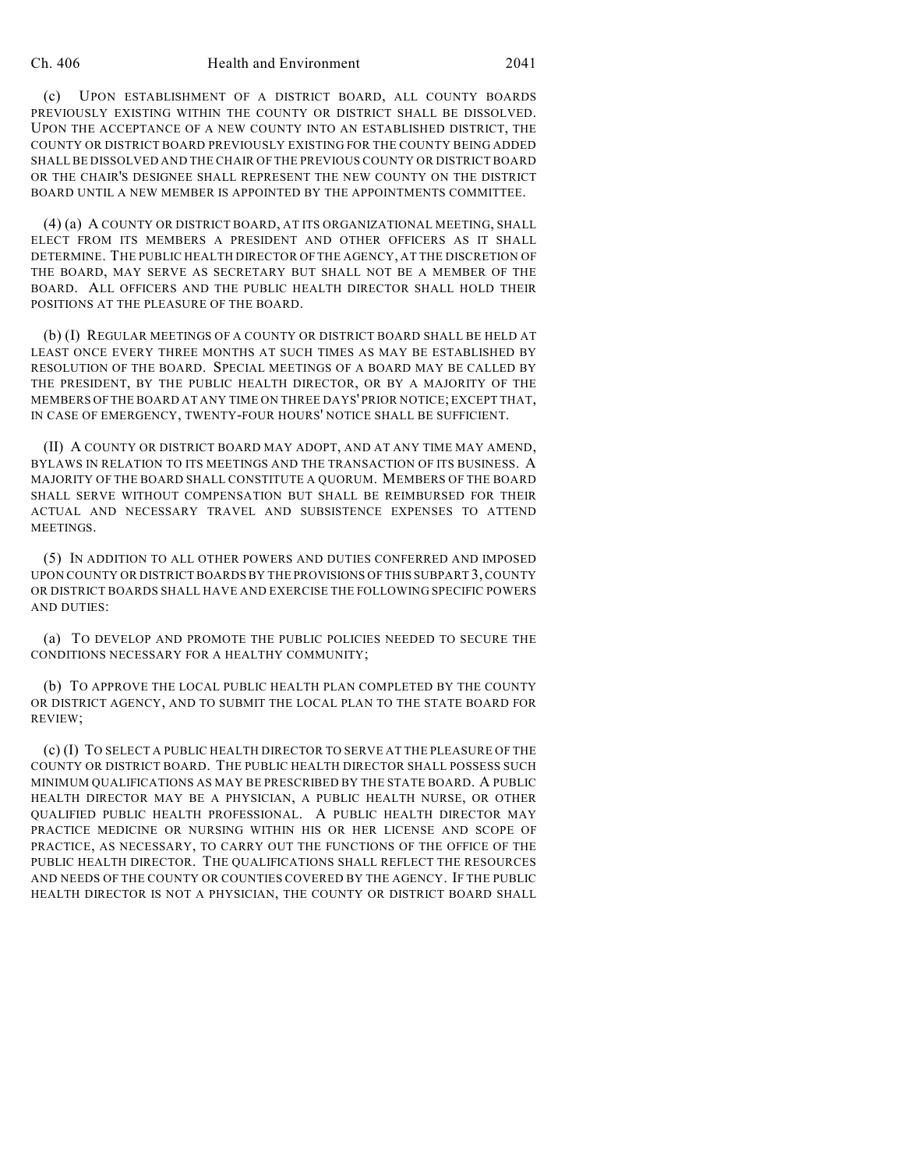(c) UPON ESTABLISHMENT OF A DISTRICT BOARD, ALL COUNTY BOARDS PREVIOUSLY EXISTING WITHIN THE COUNTY OR DISTRICT SHALL BE DISSOLVED. UPON THE ACCEPTANCE OF A NEW COUNTY INTO AN ESTABLISHED DISTRICT, THE COUNTY OR DISTRICT BOARD PREVIOUSLY EXISTING FOR THE COUNTY BEING ADDED SHALL BE DISSOLVED AND THE CHAIR OF THE PREVIOUS COUNTY OR DISTRICT BOARD OR THE CHAIR'S DESIGNEE SHALL REPRESENT THE NEW COUNTY ON THE DISTRICT BOARD UNTIL A NEW MEMBER IS APPOINTED BY THE APPOINTMENTS COMMITTEE.

(4) (a) A COUNTY OR DISTRICT BOARD, AT ITS ORGANIZATIONAL MEETING, SHALL ELECT FROM ITS MEMBERS A PRESIDENT AND OTHER OFFICERS AS IT SHALL DETERMINE. THE PUBLIC HEALTH DIRECTOR OF THE AGENCY, AT THE DISCRETION OF THE BOARD, MAY SERVE AS SECRETARY BUT SHALL NOT BE A MEMBER OF THE BOARD. ALL OFFICERS AND THE PUBLIC HEALTH DIRECTOR SHALL HOLD THEIR POSITIONS AT THE PLEASURE OF THE BOARD.

(b) (I) REGULAR MEETINGS OF A COUNTY OR DISTRICT BOARD SHALL BE HELD AT LEAST ONCE EVERY THREE MONTHS AT SUCH TIMES AS MAY BE ESTABLISHED BY RESOLUTION OF THE BOARD. SPECIAL MEETINGS OF A BOARD MAY BE CALLED BY THE PRESIDENT, BY THE PUBLIC HEALTH DIRECTOR, OR BY A MAJORITY OF THE MEMBERS OFTHE BOARD AT ANY TIME ON THREE DAYS' PRIOR NOTICE; EXCEPT THAT, IN CASE OF EMERGENCY, TWENTY-FOUR HOURS' NOTICE SHALL BE SUFFICIENT.

(II) A COUNTY OR DISTRICT BOARD MAY ADOPT, AND AT ANY TIME MAY AMEND, BYLAWS IN RELATION TO ITS MEETINGS AND THE TRANSACTION OF ITS BUSINESS. A MAJORITY OF THE BOARD SHALL CONSTITUTE A QUORUM. MEMBERS OF THE BOARD SHALL SERVE WITHOUT COMPENSATION BUT SHALL BE REIMBURSED FOR THEIR ACTUAL AND NECESSARY TRAVEL AND SUBSISTENCE EXPENSES TO ATTEND MEETINGS.

(5) IN ADDITION TO ALL OTHER POWERS AND DUTIES CONFERRED AND IMPOSED UPON COUNTY OR DISTRICT BOARDS BY THE PROVISIONS OF THIS SUBPART 3, COUNTY OR DISTRICT BOARDS SHALL HAVE AND EXERCISE THE FOLLOWING SPECIFIC POWERS AND DUTIES:

(a) TO DEVELOP AND PROMOTE THE PUBLIC POLICIES NEEDED TO SECURE THE CONDITIONS NECESSARY FOR A HEALTHY COMMUNITY;

(b) TO APPROVE THE LOCAL PUBLIC HEALTH PLAN COMPLETED BY THE COUNTY OR DISTRICT AGENCY, AND TO SUBMIT THE LOCAL PLAN TO THE STATE BOARD FOR REVIEW;

(c) (I) TO SELECT A PUBLIC HEALTH DIRECTOR TO SERVE AT THE PLEASURE OF THE COUNTY OR DISTRICT BOARD. THE PUBLIC HEALTH DIRECTOR SHALL POSSESS SUCH MINIMUM QUALIFICATIONS AS MAY BE PRESCRIBED BY THE STATE BOARD. A PUBLIC HEALTH DIRECTOR MAY BE A PHYSICIAN, A PUBLIC HEALTH NURSE, OR OTHER QUALIFIED PUBLIC HEALTH PROFESSIONAL. A PUBLIC HEALTH DIRECTOR MAY PRACTICE MEDICINE OR NURSING WITHIN HIS OR HER LICENSE AND SCOPE OF PRACTICE, AS NECESSARY, TO CARRY OUT THE FUNCTIONS OF THE OFFICE OF THE PUBLIC HEALTH DIRECTOR. THE QUALIFICATIONS SHALL REFLECT THE RESOURCES AND NEEDS OF THE COUNTY OR COUNTIES COVERED BY THE AGENCY. IF THE PUBLIC HEALTH DIRECTOR IS NOT A PHYSICIAN, THE COUNTY OR DISTRICT BOARD SHALL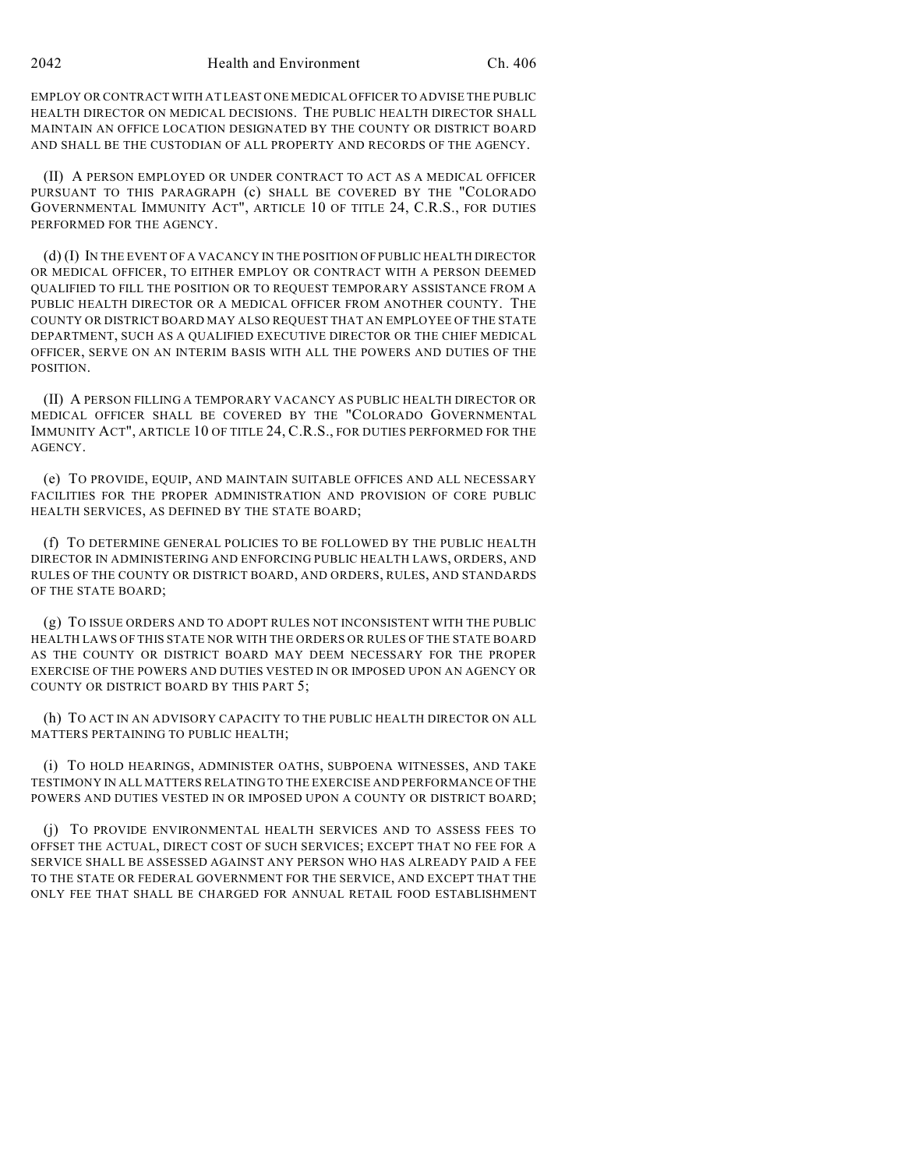EMPLOY OR CONTRACT WITH AT LEAST ONE MEDICAL OFFICER TO ADVISE THE PUBLIC HEALTH DIRECTOR ON MEDICAL DECISIONS. THE PUBLIC HEALTH DIRECTOR SHALL MAINTAIN AN OFFICE LOCATION DESIGNATED BY THE COUNTY OR DISTRICT BOARD AND SHALL BE THE CUSTODIAN OF ALL PROPERTY AND RECORDS OF THE AGENCY.

(II) A PERSON EMPLOYED OR UNDER CONTRACT TO ACT AS A MEDICAL OFFICER PURSUANT TO THIS PARAGRAPH (c) SHALL BE COVERED BY THE "COLORADO GOVERNMENTAL IMMUNITY ACT", ARTICLE 10 OF TITLE 24, C.R.S., FOR DUTIES PERFORMED FOR THE AGENCY.

(d) (I) IN THE EVENT OF A VACANCY IN THE POSITION OF PUBLIC HEALTH DIRECTOR OR MEDICAL OFFICER, TO EITHER EMPLOY OR CONTRACT WITH A PERSON DEEMED QUALIFIED TO FILL THE POSITION OR TO REQUEST TEMPORARY ASSISTANCE FROM A PUBLIC HEALTH DIRECTOR OR A MEDICAL OFFICER FROM ANOTHER COUNTY. THE COUNTY OR DISTRICT BOARD MAY ALSO REQUEST THAT AN EMPLOYEE OF THE STATE DEPARTMENT, SUCH AS A QUALIFIED EXECUTIVE DIRECTOR OR THE CHIEF MEDICAL OFFICER, SERVE ON AN INTERIM BASIS WITH ALL THE POWERS AND DUTIES OF THE POSITION.

(II) A PERSON FILLING A TEMPORARY VACANCY AS PUBLIC HEALTH DIRECTOR OR MEDICAL OFFICER SHALL BE COVERED BY THE "COLORADO GOVERNMENTAL IMMUNITY ACT", ARTICLE 10 OF TITLE 24, C.R.S., FOR DUTIES PERFORMED FOR THE AGENCY.

(e) TO PROVIDE, EQUIP, AND MAINTAIN SUITABLE OFFICES AND ALL NECESSARY FACILITIES FOR THE PROPER ADMINISTRATION AND PROVISION OF CORE PUBLIC HEALTH SERVICES, AS DEFINED BY THE STATE BOARD;

(f) TO DETERMINE GENERAL POLICIES TO BE FOLLOWED BY THE PUBLIC HEALTH DIRECTOR IN ADMINISTERING AND ENFORCING PUBLIC HEALTH LAWS, ORDERS, AND RULES OF THE COUNTY OR DISTRICT BOARD, AND ORDERS, RULES, AND STANDARDS OF THE STATE BOARD;

(g) TO ISSUE ORDERS AND TO ADOPT RULES NOT INCONSISTENT WITH THE PUBLIC HEALTH LAWS OF THIS STATE NOR WITH THE ORDERS OR RULES OF THE STATE BOARD AS THE COUNTY OR DISTRICT BOARD MAY DEEM NECESSARY FOR THE PROPER EXERCISE OF THE POWERS AND DUTIES VESTED IN OR IMPOSED UPON AN AGENCY OR COUNTY OR DISTRICT BOARD BY THIS PART 5;

(h) TO ACT IN AN ADVISORY CAPACITY TO THE PUBLIC HEALTH DIRECTOR ON ALL MATTERS PERTAINING TO PUBLIC HEALTH;

(i) TO HOLD HEARINGS, ADMINISTER OATHS, SUBPOENA WITNESSES, AND TAKE TESTIMONY IN ALL MATTERS RELATING TO THE EXERCISE AND PERFORMANCE OF THE POWERS AND DUTIES VESTED IN OR IMPOSED UPON A COUNTY OR DISTRICT BOARD;

(j) TO PROVIDE ENVIRONMENTAL HEALTH SERVICES AND TO ASSESS FEES TO OFFSET THE ACTUAL, DIRECT COST OF SUCH SERVICES; EXCEPT THAT NO FEE FOR A SERVICE SHALL BE ASSESSED AGAINST ANY PERSON WHO HAS ALREADY PAID A FEE TO THE STATE OR FEDERAL GOVERNMENT FOR THE SERVICE, AND EXCEPT THAT THE ONLY FEE THAT SHALL BE CHARGED FOR ANNUAL RETAIL FOOD ESTABLISHMENT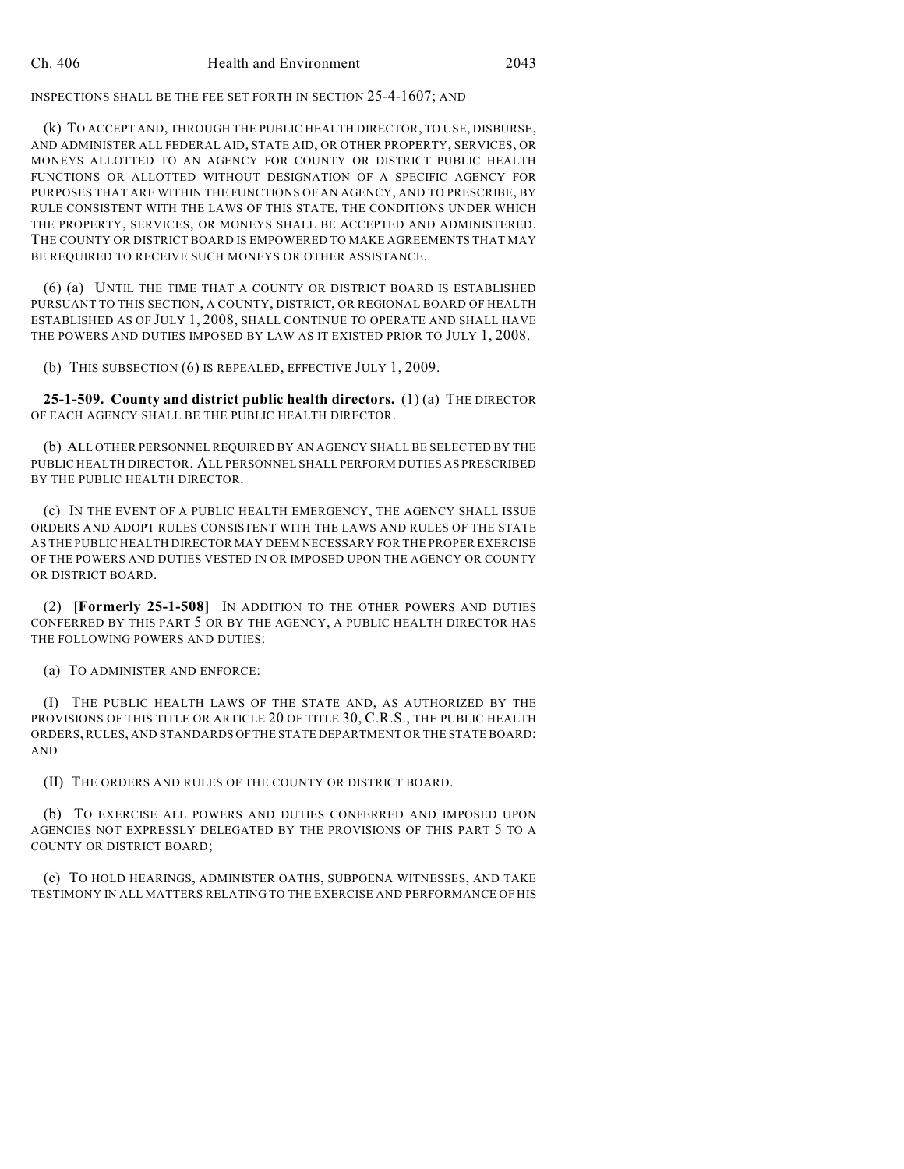INSPECTIONS SHALL BE THE FEE SET FORTH IN SECTION 25-4-1607; AND

(k) TO ACCEPT AND, THROUGH THE PUBLIC HEALTH DIRECTOR, TO USE, DISBURSE, AND ADMINISTER ALL FEDERAL AID, STATE AID, OR OTHER PROPERTY, SERVICES, OR MONEYS ALLOTTED TO AN AGENCY FOR COUNTY OR DISTRICT PUBLIC HEALTH FUNCTIONS OR ALLOTTED WITHOUT DESIGNATION OF A SPECIFIC AGENCY FOR PURPOSES THAT ARE WITHIN THE FUNCTIONS OF AN AGENCY, AND TO PRESCRIBE, BY RULE CONSISTENT WITH THE LAWS OF THIS STATE, THE CONDITIONS UNDER WHICH THE PROPERTY, SERVICES, OR MONEYS SHALL BE ACCEPTED AND ADMINISTERED. THE COUNTY OR DISTRICT BOARD IS EMPOWERED TO MAKE AGREEMENTS THAT MAY BE REQUIRED TO RECEIVE SUCH MONEYS OR OTHER ASSISTANCE.

(6) (a) UNTIL THE TIME THAT A COUNTY OR DISTRICT BOARD IS ESTABLISHED PURSUANT TO THIS SECTION, A COUNTY, DISTRICT, OR REGIONAL BOARD OF HEALTH ESTABLISHED AS OF JULY 1, 2008, SHALL CONTINUE TO OPERATE AND SHALL HAVE THE POWERS AND DUTIES IMPOSED BY LAW AS IT EXISTED PRIOR TO JULY 1, 2008.

(b) THIS SUBSECTION (6) IS REPEALED, EFFECTIVE JULY 1, 2009.

**25-1-509. County and district public health directors.** (1) (a) THE DIRECTOR OF EACH AGENCY SHALL BE THE PUBLIC HEALTH DIRECTOR.

(b) ALL OTHER PERSONNEL REQUIRED BY AN AGENCY SHALL BE SELECTED BY THE PUBLIC HEALTH DIRECTOR. ALL PERSONNEL SHALL PERFORM DUTIES AS PRESCRIBED BY THE PUBLIC HEALTH DIRECTOR.

(c) IN THE EVENT OF A PUBLIC HEALTH EMERGENCY, THE AGENCY SHALL ISSUE ORDERS AND ADOPT RULES CONSISTENT WITH THE LAWS AND RULES OF THE STATE AS THE PUBLIC HEALTH DIRECTOR MAY DEEM NECESSARY FOR THE PROPER EXERCISE OF THE POWERS AND DUTIES VESTED IN OR IMPOSED UPON THE AGENCY OR COUNTY OR DISTRICT BOARD.

(2) **[Formerly 25-1-508]** IN ADDITION TO THE OTHER POWERS AND DUTIES CONFERRED BY THIS PART 5 OR BY THE AGENCY, A PUBLIC HEALTH DIRECTOR HAS THE FOLLOWING POWERS AND DUTIES:

(a) TO ADMINISTER AND ENFORCE:

(I) THE PUBLIC HEALTH LAWS OF THE STATE AND, AS AUTHORIZED BY THE PROVISIONS OF THIS TITLE OR ARTICLE 20 OF TITLE 30, C.R.S., THE PUBLIC HEALTH ORDERS, RULES, AND STANDARDS OF THE STATE DEPARTMENT OR THE STATE BOARD; AND

(II) THE ORDERS AND RULES OF THE COUNTY OR DISTRICT BOARD.

(b) TO EXERCISE ALL POWERS AND DUTIES CONFERRED AND IMPOSED UPON AGENCIES NOT EXPRESSLY DELEGATED BY THE PROVISIONS OF THIS PART 5 TO A COUNTY OR DISTRICT BOARD;

(c) TO HOLD HEARINGS, ADMINISTER OATHS, SUBPOENA WITNESSES, AND TAKE TESTIMONY IN ALL MATTERS RELATING TO THE EXERCISE AND PERFORMANCE OF HIS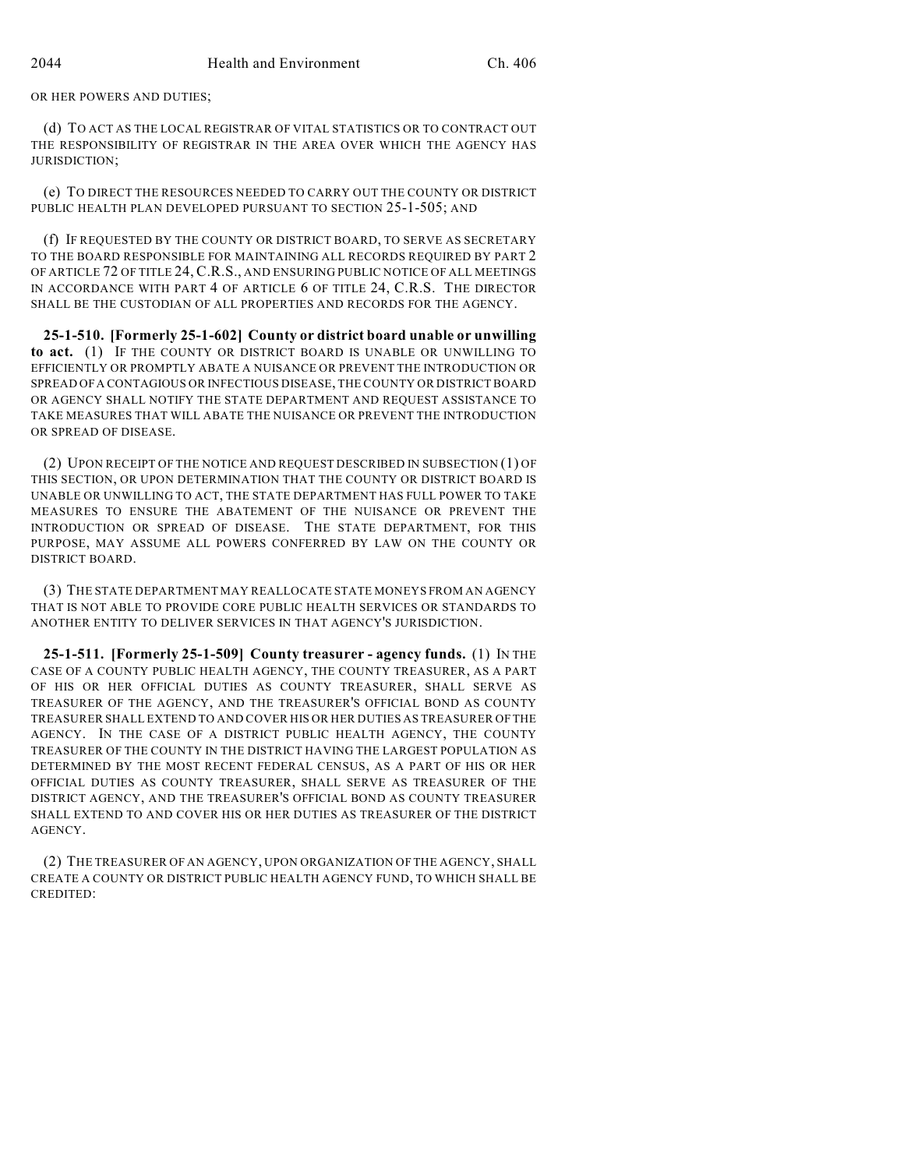OR HER POWERS AND DUTIES;

(d) TO ACT AS THE LOCAL REGISTRAR OF VITAL STATISTICS OR TO CONTRACT OUT THE RESPONSIBILITY OF REGISTRAR IN THE AREA OVER WHICH THE AGENCY HAS JURISDICTION;

(e) TO DIRECT THE RESOURCES NEEDED TO CARRY OUT THE COUNTY OR DISTRICT PUBLIC HEALTH PLAN DEVELOPED PURSUANT TO SECTION 25-1-505; AND

(f) IF REQUESTED BY THE COUNTY OR DISTRICT BOARD, TO SERVE AS SECRETARY TO THE BOARD RESPONSIBLE FOR MAINTAINING ALL RECORDS REQUIRED BY PART 2 OF ARTICLE 72 OF TITLE 24, C.R.S., AND ENSURING PUBLIC NOTICE OF ALL MEETINGS IN ACCORDANCE WITH PART 4 OF ARTICLE 6 OF TITLE 24, C.R.S. THE DIRECTOR SHALL BE THE CUSTODIAN OF ALL PROPERTIES AND RECORDS FOR THE AGENCY.

**25-1-510. [Formerly 25-1-602] County or district board unable or unwilling to act.** (1) IF THE COUNTY OR DISTRICT BOARD IS UNABLE OR UNWILLING TO EFFICIENTLY OR PROMPTLY ABATE A NUISANCE OR PREVENT THE INTRODUCTION OR SPREAD OF A CONTAGIOUS OR INFECTIOUS DISEASE, THE COUNTY OR DISTRICT BOARD OR AGENCY SHALL NOTIFY THE STATE DEPARTMENT AND REQUEST ASSISTANCE TO TAKE MEASURES THAT WILL ABATE THE NUISANCE OR PREVENT THE INTRODUCTION OR SPREAD OF DISEASE.

(2) UPON RECEIPT OF THE NOTICE AND REQUEST DESCRIBED IN SUBSECTION (1) OF THIS SECTION, OR UPON DETERMINATION THAT THE COUNTY OR DISTRICT BOARD IS UNABLE OR UNWILLING TO ACT, THE STATE DEPARTMENT HAS FULL POWER TO TAKE MEASURES TO ENSURE THE ABATEMENT OF THE NUISANCE OR PREVENT THE INTRODUCTION OR SPREAD OF DISEASE. THE STATE DEPARTMENT, FOR THIS PURPOSE, MAY ASSUME ALL POWERS CONFERRED BY LAW ON THE COUNTY OR DISTRICT BOARD.

(3) THE STATE DEPARTMENT MAY REALLOCATE STATE MONEYS FROM AN AGENCY THAT IS NOT ABLE TO PROVIDE CORE PUBLIC HEALTH SERVICES OR STANDARDS TO ANOTHER ENTITY TO DELIVER SERVICES IN THAT AGENCY'S JURISDICTION.

**25-1-511. [Formerly 25-1-509] County treasurer - agency funds.** (1) IN THE CASE OF A COUNTY PUBLIC HEALTH AGENCY, THE COUNTY TREASURER, AS A PART OF HIS OR HER OFFICIAL DUTIES AS COUNTY TREASURER, SHALL SERVE AS TREASURER OF THE AGENCY, AND THE TREASURER'S OFFICIAL BOND AS COUNTY TREASURER SHALL EXTEND TO AND COVER HIS OR HER DUTIES AS TREASURER OF THE AGENCY. IN THE CASE OF A DISTRICT PUBLIC HEALTH AGENCY, THE COUNTY TREASURER OF THE COUNTY IN THE DISTRICT HAVING THE LARGEST POPULATION AS DETERMINED BY THE MOST RECENT FEDERAL CENSUS, AS A PART OF HIS OR HER OFFICIAL DUTIES AS COUNTY TREASURER, SHALL SERVE AS TREASURER OF THE DISTRICT AGENCY, AND THE TREASURER'S OFFICIAL BOND AS COUNTY TREASURER SHALL EXTEND TO AND COVER HIS OR HER DUTIES AS TREASURER OF THE DISTRICT AGENCY.

(2) THE TREASURER OF AN AGENCY, UPON ORGANIZATION OF THE AGENCY, SHALL CREATE A COUNTY OR DISTRICT PUBLIC HEALTH AGENCY FUND, TO WHICH SHALL BE CREDITED: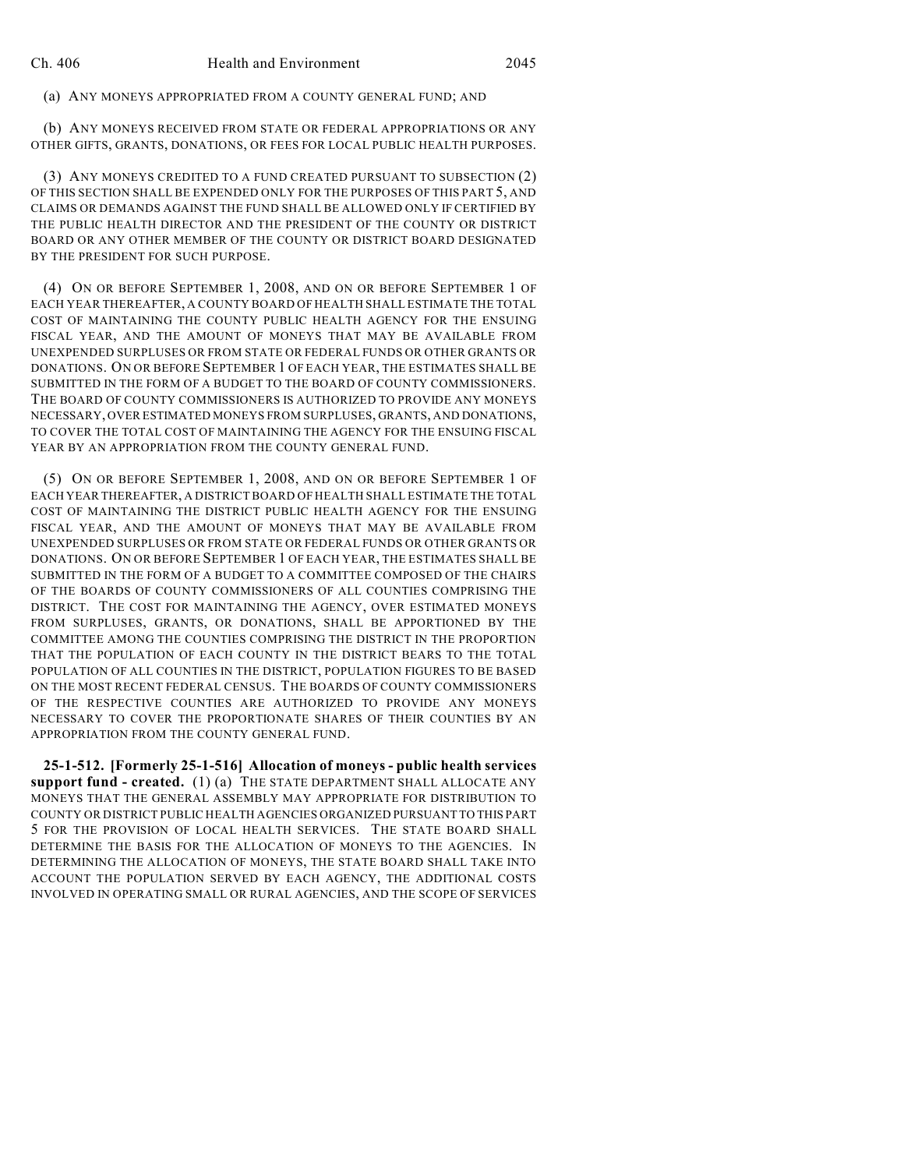(a) ANY MONEYS APPROPRIATED FROM A COUNTY GENERAL FUND; AND

(b) ANY MONEYS RECEIVED FROM STATE OR FEDERAL APPROPRIATIONS OR ANY OTHER GIFTS, GRANTS, DONATIONS, OR FEES FOR LOCAL PUBLIC HEALTH PURPOSES.

(3) ANY MONEYS CREDITED TO A FUND CREATED PURSUANT TO SUBSECTION (2) OF THIS SECTION SHALL BE EXPENDED ONLY FOR THE PURPOSES OF THIS PART 5, AND CLAIMS OR DEMANDS AGAINST THE FUND SHALL BE ALLOWED ONLY IF CERTIFIED BY THE PUBLIC HEALTH DIRECTOR AND THE PRESIDENT OF THE COUNTY OR DISTRICT BOARD OR ANY OTHER MEMBER OF THE COUNTY OR DISTRICT BOARD DESIGNATED BY THE PRESIDENT FOR SUCH PURPOSE.

(4) ON OR BEFORE SEPTEMBER 1, 2008, AND ON OR BEFORE SEPTEMBER 1 OF EACH YEAR THEREAFTER, A COUNTY BOARD OFHEALTH SHALL ESTIMATE THE TOTAL COST OF MAINTAINING THE COUNTY PUBLIC HEALTH AGENCY FOR THE ENSUING FISCAL YEAR, AND THE AMOUNT OF MONEYS THAT MAY BE AVAILABLE FROM UNEXPENDED SURPLUSES OR FROM STATE OR FEDERAL FUNDS OR OTHER GRANTS OR DONATIONS. ON OR BEFORE SEPTEMBER 1 OF EACH YEAR, THE ESTIMATES SHALL BE SUBMITTED IN THE FORM OF A BUDGET TO THE BOARD OF COUNTY COMMISSIONERS. THE BOARD OF COUNTY COMMISSIONERS IS AUTHORIZED TO PROVIDE ANY MONEYS NECESSARY, OVER ESTIMATED MONEYS FROM SURPLUSES, GRANTS, AND DONATIONS, TO COVER THE TOTAL COST OF MAINTAINING THE AGENCY FOR THE ENSUING FISCAL YEAR BY AN APPROPRIATION FROM THE COUNTY GENERAL FUND.

(5) ON OR BEFORE SEPTEMBER 1, 2008, AND ON OR BEFORE SEPTEMBER 1 OF EACH YEAR THEREAFTER, A DISTRICT BOARD OF HEALTH SHALL ESTIMATE THE TOTAL COST OF MAINTAINING THE DISTRICT PUBLIC HEALTH AGENCY FOR THE ENSUING FISCAL YEAR, AND THE AMOUNT OF MONEYS THAT MAY BE AVAILABLE FROM UNEXPENDED SURPLUSES OR FROM STATE OR FEDERAL FUNDS OR OTHER GRANTS OR DONATIONS. ON OR BEFORE SEPTEMBER 1 OF EACH YEAR, THE ESTIMATES SHALL BE SUBMITTED IN THE FORM OF A BUDGET TO A COMMITTEE COMPOSED OF THE CHAIRS OF THE BOARDS OF COUNTY COMMISSIONERS OF ALL COUNTIES COMPRISING THE DISTRICT. THE COST FOR MAINTAINING THE AGENCY, OVER ESTIMATED MONEYS FROM SURPLUSES, GRANTS, OR DONATIONS, SHALL BE APPORTIONED BY THE COMMITTEE AMONG THE COUNTIES COMPRISING THE DISTRICT IN THE PROPORTION THAT THE POPULATION OF EACH COUNTY IN THE DISTRICT BEARS TO THE TOTAL POPULATION OF ALL COUNTIES IN THE DISTRICT, POPULATION FIGURES TO BE BASED ON THE MOST RECENT FEDERAL CENSUS. THE BOARDS OF COUNTY COMMISSIONERS OF THE RESPECTIVE COUNTIES ARE AUTHORIZED TO PROVIDE ANY MONEYS NECESSARY TO COVER THE PROPORTIONATE SHARES OF THEIR COUNTIES BY AN APPROPRIATION FROM THE COUNTY GENERAL FUND.

**25-1-512. [Formerly 25-1-516] Allocation of moneys - public health services support fund - created.** (1) (a) THE STATE DEPARTMENT SHALL ALLOCATE ANY MONEYS THAT THE GENERAL ASSEMBLY MAY APPROPRIATE FOR DISTRIBUTION TO COUNTY OR DISTRICT PUBLIC HEALTH AGENCIES ORGANIZED PURSUANT TO THIS PART 5 FOR THE PROVISION OF LOCAL HEALTH SERVICES. THE STATE BOARD SHALL DETERMINE THE BASIS FOR THE ALLOCATION OF MONEYS TO THE AGENCIES. IN DETERMINING THE ALLOCATION OF MONEYS, THE STATE BOARD SHALL TAKE INTO ACCOUNT THE POPULATION SERVED BY EACH AGENCY, THE ADDITIONAL COSTS INVOLVED IN OPERATING SMALL OR RURAL AGENCIES, AND THE SCOPE OF SERVICES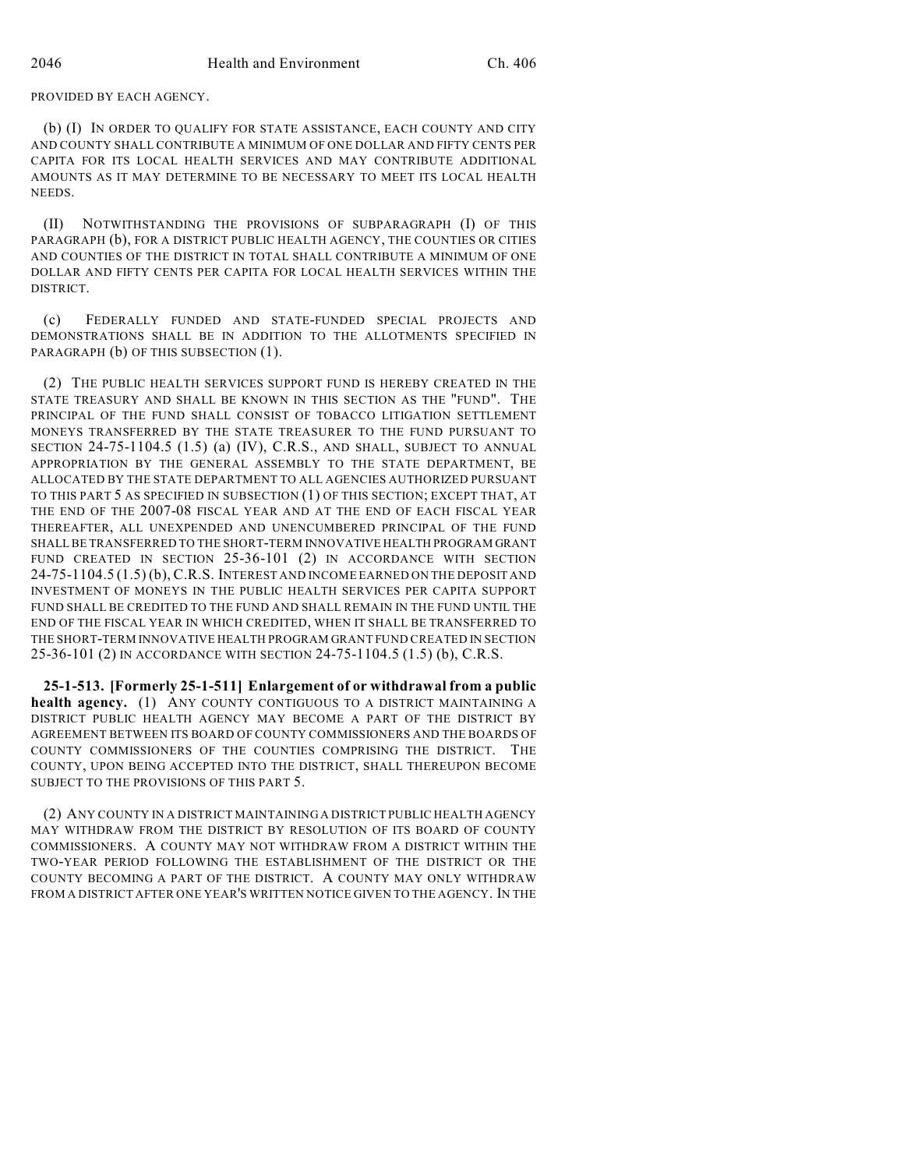PROVIDED BY EACH AGENCY.

(b) (I) IN ORDER TO QUALIFY FOR STATE ASSISTANCE, EACH COUNTY AND CITY AND COUNTY SHALL CONTRIBUTE A MINIMUM OF ONE DOLLAR AND FIFTY CENTS PER CAPITA FOR ITS LOCAL HEALTH SERVICES AND MAY CONTRIBUTE ADDITIONAL AMOUNTS AS IT MAY DETERMINE TO BE NECESSARY TO MEET ITS LOCAL HEALTH **NEEDS**.

(II) NOTWITHSTANDING THE PROVISIONS OF SUBPARAGRAPH (I) OF THIS PARAGRAPH (b), FOR A DISTRICT PUBLIC HEALTH AGENCY, THE COUNTIES OR CITIES AND COUNTIES OF THE DISTRICT IN TOTAL SHALL CONTRIBUTE A MINIMUM OF ONE DOLLAR AND FIFTY CENTS PER CAPITA FOR LOCAL HEALTH SERVICES WITHIN THE DISTRICT.

(c) FEDERALLY FUNDED AND STATE-FUNDED SPECIAL PROJECTS AND DEMONSTRATIONS SHALL BE IN ADDITION TO THE ALLOTMENTS SPECIFIED IN PARAGRAPH (b) OF THIS SUBSECTION (1).

(2) THE PUBLIC HEALTH SERVICES SUPPORT FUND IS HEREBY CREATED IN THE STATE TREASURY AND SHALL BE KNOWN IN THIS SECTION AS THE "FUND". THE PRINCIPAL OF THE FUND SHALL CONSIST OF TOBACCO LITIGATION SETTLEMENT MONEYS TRANSFERRED BY THE STATE TREASURER TO THE FUND PURSUANT TO SECTION 24-75-1104.5 (1.5) (a) (IV), C.R.S., AND SHALL, SUBJECT TO ANNUAL APPROPRIATION BY THE GENERAL ASSEMBLY TO THE STATE DEPARTMENT, BE ALLOCATED BY THE STATE DEPARTMENT TO ALL AGENCIES AUTHORIZED PURSUANT TO THIS PART 5 AS SPECIFIED IN SUBSECTION (1) OF THIS SECTION; EXCEPT THAT, AT THE END OF THE 2007-08 FISCAL YEAR AND AT THE END OF EACH FISCAL YEAR THEREAFTER, ALL UNEXPENDED AND UNENCUMBERED PRINCIPAL OF THE FUND SHALL BE TRANSFERRED TO THE SHORT-TERM INNOVATIVE HEALTH PROGRAM GRANT FUND CREATED IN SECTION 25-36-101 (2) IN ACCORDANCE WITH SECTION 24-75-1104.5 (1.5) (b), C.R.S. INTEREST AND INCOME EARNED ON THE DEPOSIT AND INVESTMENT OF MONEYS IN THE PUBLIC HEALTH SERVICES PER CAPITA SUPPORT FUND SHALL BE CREDITED TO THE FUND AND SHALL REMAIN IN THE FUND UNTIL THE END OF THE FISCAL YEAR IN WHICH CREDITED, WHEN IT SHALL BE TRANSFERRED TO THE SHORT-TERM INNOVATIVE HEALTH PROGRAM GRANT FUND CREATED IN SECTION 25-36-101 (2) IN ACCORDANCE WITH SECTION 24-75-1104.5 (1.5) (b), C.R.S.

**25-1-513. [Formerly 25-1-511] Enlargement of or withdrawal from a public health agency.** (1) ANY COUNTY CONTIGUOUS TO A DISTRICT MAINTAINING A DISTRICT PUBLIC HEALTH AGENCY MAY BECOME A PART OF THE DISTRICT BY AGREEMENT BETWEEN ITS BOARD OF COUNTY COMMISSIONERS AND THE BOARDS OF COUNTY COMMISSIONERS OF THE COUNTIES COMPRISING THE DISTRICT. THE COUNTY, UPON BEING ACCEPTED INTO THE DISTRICT, SHALL THEREUPON BECOME SUBJECT TO THE PROVISIONS OF THIS PART 5.

(2) ANY COUNTY IN A DISTRICT MAINTAINING A DISTRICT PUBLIC HEALTH AGENCY MAY WITHDRAW FROM THE DISTRICT BY RESOLUTION OF ITS BOARD OF COUNTY COMMISSIONERS. A COUNTY MAY NOT WITHDRAW FROM A DISTRICT WITHIN THE TWO-YEAR PERIOD FOLLOWING THE ESTABLISHMENT OF THE DISTRICT OR THE COUNTY BECOMING A PART OF THE DISTRICT. A COUNTY MAY ONLY WITHDRAW FROM A DISTRICT AFTER ONE YEAR'S WRITTEN NOTICE GIVEN TO THE AGENCY. IN THE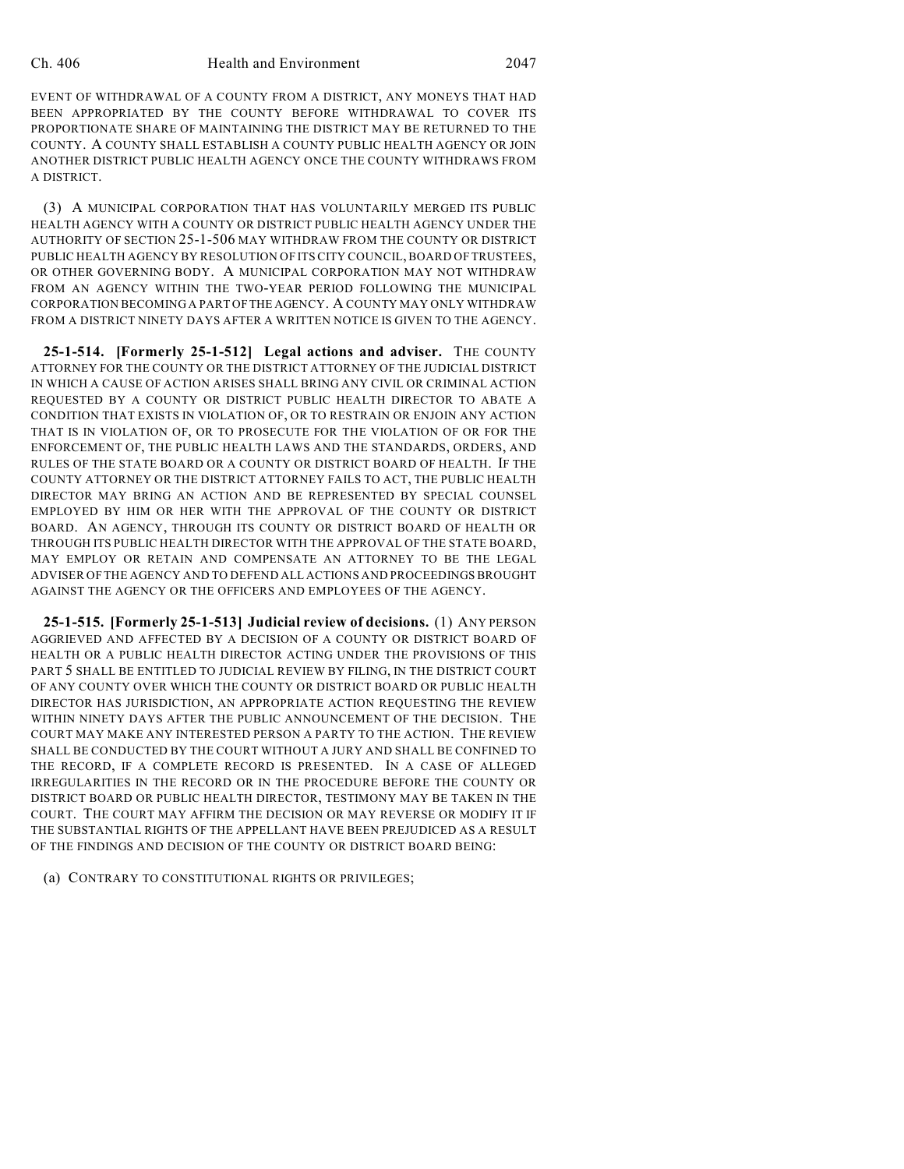EVENT OF WITHDRAWAL OF A COUNTY FROM A DISTRICT, ANY MONEYS THAT HAD BEEN APPROPRIATED BY THE COUNTY BEFORE WITHDRAWAL TO COVER ITS PROPORTIONATE SHARE OF MAINTAINING THE DISTRICT MAY BE RETURNED TO THE COUNTY. A COUNTY SHALL ESTABLISH A COUNTY PUBLIC HEALTH AGENCY OR JOIN ANOTHER DISTRICT PUBLIC HEALTH AGENCY ONCE THE COUNTY WITHDRAWS FROM A DISTRICT.

(3) A MUNICIPAL CORPORATION THAT HAS VOLUNTARILY MERGED ITS PUBLIC HEALTH AGENCY WITH A COUNTY OR DISTRICT PUBLIC HEALTH AGENCY UNDER THE AUTHORITY OF SECTION 25-1-506 MAY WITHDRAW FROM THE COUNTY OR DISTRICT PUBLIC HEALTH AGENCY BY RESOLUTION OF ITS CITY COUNCIL, BOARD OF TRUSTEES, OR OTHER GOVERNING BODY. A MUNICIPAL CORPORATION MAY NOT WITHDRAW FROM AN AGENCY WITHIN THE TWO-YEAR PERIOD FOLLOWING THE MUNICIPAL CORPORATION BECOMING A PART OF THE AGENCY. A COUNTY MAY ONLY WITHDRAW FROM A DISTRICT NINETY DAYS AFTER A WRITTEN NOTICE IS GIVEN TO THE AGENCY.

**25-1-514. [Formerly 25-1-512] Legal actions and adviser.** THE COUNTY ATTORNEY FOR THE COUNTY OR THE DISTRICT ATTORNEY OF THE JUDICIAL DISTRICT IN WHICH A CAUSE OF ACTION ARISES SHALL BRING ANY CIVIL OR CRIMINAL ACTION REQUESTED BY A COUNTY OR DISTRICT PUBLIC HEALTH DIRECTOR TO ABATE A CONDITION THAT EXISTS IN VIOLATION OF, OR TO RESTRAIN OR ENJOIN ANY ACTION THAT IS IN VIOLATION OF, OR TO PROSECUTE FOR THE VIOLATION OF OR FOR THE ENFORCEMENT OF, THE PUBLIC HEALTH LAWS AND THE STANDARDS, ORDERS, AND RULES OF THE STATE BOARD OR A COUNTY OR DISTRICT BOARD OF HEALTH. IF THE COUNTY ATTORNEY OR THE DISTRICT ATTORNEY FAILS TO ACT, THE PUBLIC HEALTH DIRECTOR MAY BRING AN ACTION AND BE REPRESENTED BY SPECIAL COUNSEL EMPLOYED BY HIM OR HER WITH THE APPROVAL OF THE COUNTY OR DISTRICT BOARD. AN AGENCY, THROUGH ITS COUNTY OR DISTRICT BOARD OF HEALTH OR THROUGH ITS PUBLIC HEALTH DIRECTOR WITH THE APPROVAL OF THE STATE BOARD, MAY EMPLOY OR RETAIN AND COMPENSATE AN ATTORNEY TO BE THE LEGAL ADVISER OF THE AGENCY AND TO DEFEND ALL ACTIONS AND PROCEEDINGS BROUGHT AGAINST THE AGENCY OR THE OFFICERS AND EMPLOYEES OF THE AGENCY.

**25-1-515. [Formerly 25-1-513] Judicial review of decisions.** (1) ANY PERSON AGGRIEVED AND AFFECTED BY A DECISION OF A COUNTY OR DISTRICT BOARD OF HEALTH OR A PUBLIC HEALTH DIRECTOR ACTING UNDER THE PROVISIONS OF THIS PART 5 SHALL BE ENTITLED TO JUDICIAL REVIEW BY FILING, IN THE DISTRICT COURT OF ANY COUNTY OVER WHICH THE COUNTY OR DISTRICT BOARD OR PUBLIC HEALTH DIRECTOR HAS JURISDICTION, AN APPROPRIATE ACTION REQUESTING THE REVIEW WITHIN NINETY DAYS AFTER THE PUBLIC ANNOUNCEMENT OF THE DECISION. THE COURT MAY MAKE ANY INTERESTED PERSON A PARTY TO THE ACTION. THE REVIEW SHALL BE CONDUCTED BY THE COURT WITHOUT A JURY AND SHALL BE CONFINED TO THE RECORD, IF A COMPLETE RECORD IS PRESENTED. IN A CASE OF ALLEGED IRREGULARITIES IN THE RECORD OR IN THE PROCEDURE BEFORE THE COUNTY OR DISTRICT BOARD OR PUBLIC HEALTH DIRECTOR, TESTIMONY MAY BE TAKEN IN THE COURT. THE COURT MAY AFFIRM THE DECISION OR MAY REVERSE OR MODIFY IT IF THE SUBSTANTIAL RIGHTS OF THE APPELLANT HAVE BEEN PREJUDICED AS A RESULT OF THE FINDINGS AND DECISION OF THE COUNTY OR DISTRICT BOARD BEING:

(a) CONTRARY TO CONSTITUTIONAL RIGHTS OR PRIVILEGES;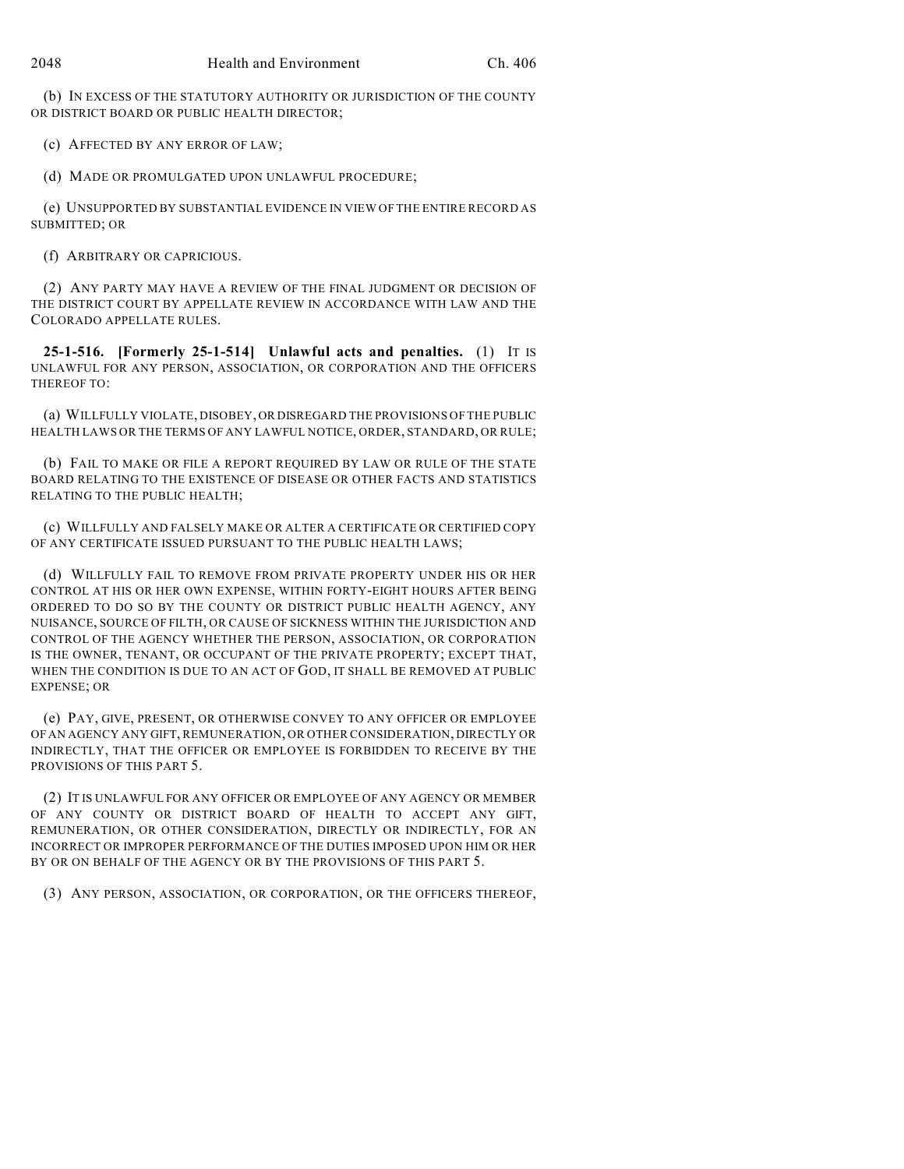(b) IN EXCESS OF THE STATUTORY AUTHORITY OR JURISDICTION OF THE COUNTY OR DISTRICT BOARD OR PUBLIC HEALTH DIRECTOR;

(c) AFFECTED BY ANY ERROR OF LAW;

(d) MADE OR PROMULGATED UPON UNLAWFUL PROCEDURE;

(e) UNSUPPORTED BY SUBSTANTIAL EVIDENCE IN VIEW OF THE ENTIRE RECORD AS SUBMITTED; OR

(f) ARBITRARY OR CAPRICIOUS.

(2) ANY PARTY MAY HAVE A REVIEW OF THE FINAL JUDGMENT OR DECISION OF THE DISTRICT COURT BY APPELLATE REVIEW IN ACCORDANCE WITH LAW AND THE COLORADO APPELLATE RULES.

**25-1-516. [Formerly 25-1-514] Unlawful acts and penalties.** (1) IT IS UNLAWFUL FOR ANY PERSON, ASSOCIATION, OR CORPORATION AND THE OFFICERS THEREOF TO:

(a) WILLFULLY VIOLATE, DISOBEY, OR DISREGARD THE PROVISIONS OF THE PUBLIC HEALTH LAWS OR THE TERMS OF ANY LAWFUL NOTICE, ORDER, STANDARD, OR RULE;

(b) FAIL TO MAKE OR FILE A REPORT REQUIRED BY LAW OR RULE OF THE STATE BOARD RELATING TO THE EXISTENCE OF DISEASE OR OTHER FACTS AND STATISTICS RELATING TO THE PUBLIC HEALTH;

(c) WILLFULLY AND FALSELY MAKE OR ALTER A CERTIFICATE OR CERTIFIED COPY OF ANY CERTIFICATE ISSUED PURSUANT TO THE PUBLIC HEALTH LAWS;

(d) WILLFULLY FAIL TO REMOVE FROM PRIVATE PROPERTY UNDER HIS OR HER CONTROL AT HIS OR HER OWN EXPENSE, WITHIN FORTY-EIGHT HOURS AFTER BEING ORDERED TO DO SO BY THE COUNTY OR DISTRICT PUBLIC HEALTH AGENCY, ANY NUISANCE, SOURCE OF FILTH, OR CAUSE OF SICKNESS WITHIN THE JURISDICTION AND CONTROL OF THE AGENCY WHETHER THE PERSON, ASSOCIATION, OR CORPORATION IS THE OWNER, TENANT, OR OCCUPANT OF THE PRIVATE PROPERTY; EXCEPT THAT, WHEN THE CONDITION IS DUE TO AN ACT OF GOD, IT SHALL BE REMOVED AT PUBLIC EXPENSE; OR

(e) PAY, GIVE, PRESENT, OR OTHERWISE CONVEY TO ANY OFFICER OR EMPLOYEE OF AN AGENCY ANY GIFT, REMUNERATION, OR OTHER CONSIDERATION, DIRECTLY OR INDIRECTLY, THAT THE OFFICER OR EMPLOYEE IS FORBIDDEN TO RECEIVE BY THE PROVISIONS OF THIS PART 5.

(2) IT IS UNLAWFUL FOR ANY OFFICER OR EMPLOYEE OF ANY AGENCY OR MEMBER OF ANY COUNTY OR DISTRICT BOARD OF HEALTH TO ACCEPT ANY GIFT, REMUNERATION, OR OTHER CONSIDERATION, DIRECTLY OR INDIRECTLY, FOR AN INCORRECT OR IMPROPER PERFORMANCE OF THE DUTIES IMPOSED UPON HIM OR HER BY OR ON BEHALF OF THE AGENCY OR BY THE PROVISIONS OF THIS PART 5.

(3) ANY PERSON, ASSOCIATION, OR CORPORATION, OR THE OFFICERS THEREOF,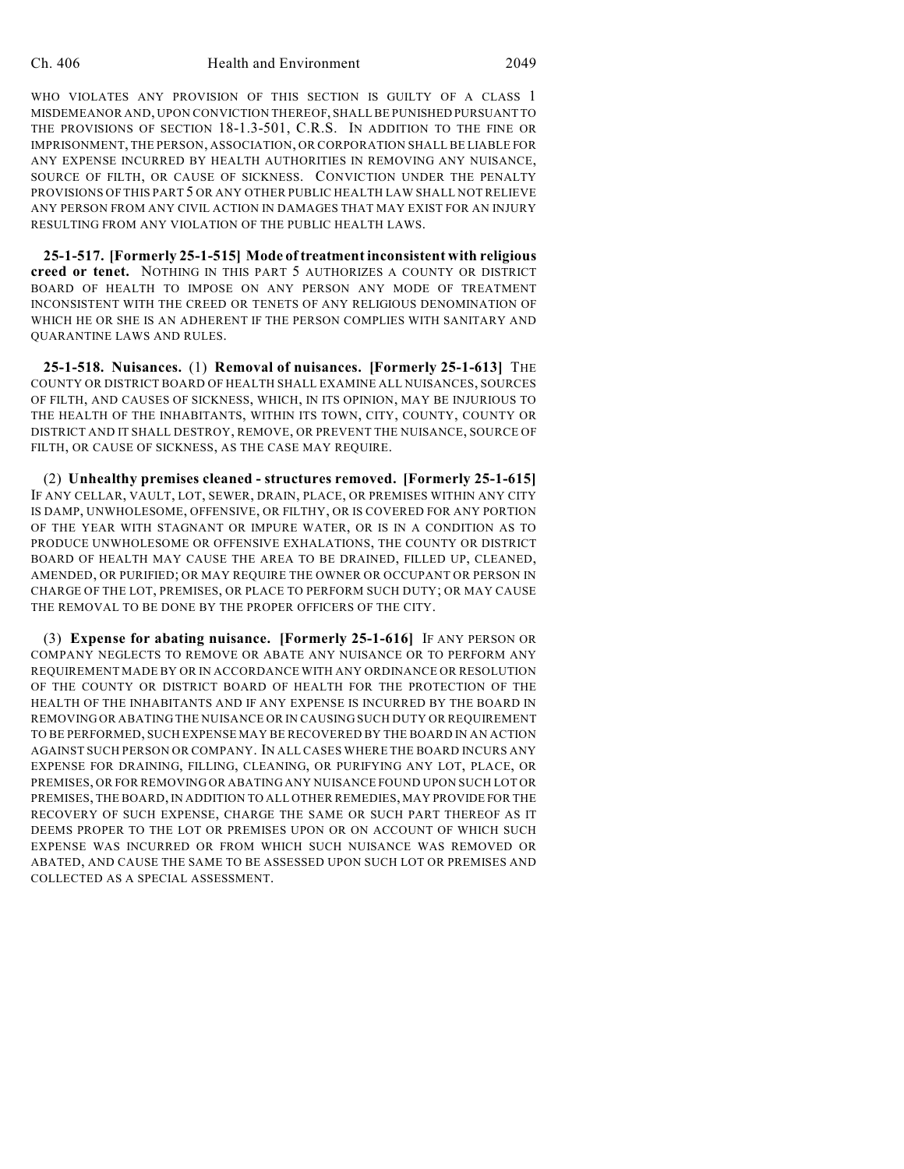WHO VIOLATES ANY PROVISION OF THIS SECTION IS GUILTY OF A CLASS 1 MISDEMEANOR AND, UPON CONVICTION THEREOF, SHALL BE PUNISHED PURSUANT TO THE PROVISIONS OF SECTION 18-1.3-501, C.R.S. IN ADDITION TO THE FINE OR IMPRISONMENT, THE PERSON, ASSOCIATION, OR CORPORATION SHALL BE LIABLE FOR ANY EXPENSE INCURRED BY HEALTH AUTHORITIES IN REMOVING ANY NUISANCE, SOURCE OF FILTH, OR CAUSE OF SICKNESS. CONVICTION UNDER THE PENALTY PROVISIONS OF THIS PART 5 OR ANY OTHER PUBLIC HEALTH LAW SHALL NOT RELIEVE ANY PERSON FROM ANY CIVIL ACTION IN DAMAGES THAT MAY EXIST FOR AN INJURY RESULTING FROM ANY VIOLATION OF THE PUBLIC HEALTH LAWS.

**25-1-517. [Formerly 25-1-515] Mode of treatment inconsistent with religious creed or tenet.** NOTHING IN THIS PART 5 AUTHORIZES A COUNTY OR DISTRICT BOARD OF HEALTH TO IMPOSE ON ANY PERSON ANY MODE OF TREATMENT INCONSISTENT WITH THE CREED OR TENETS OF ANY RELIGIOUS DENOMINATION OF WHICH HE OR SHE IS AN ADHERENT IF THE PERSON COMPLIES WITH SANITARY AND QUARANTINE LAWS AND RULES.

**25-1-518. Nuisances.** (1) **Removal of nuisances. [Formerly 25-1-613]** THE COUNTY OR DISTRICT BOARD OF HEALTH SHALL EXAMINE ALL NUISANCES, SOURCES OF FILTH, AND CAUSES OF SICKNESS, WHICH, IN ITS OPINION, MAY BE INJURIOUS TO THE HEALTH OF THE INHABITANTS, WITHIN ITS TOWN, CITY, COUNTY, COUNTY OR DISTRICT AND IT SHALL DESTROY, REMOVE, OR PREVENT THE NUISANCE, SOURCE OF FILTH, OR CAUSE OF SICKNESS, AS THE CASE MAY REQUIRE.

(2) **Unhealthy premises cleaned - structures removed. [Formerly 25-1-615]** IF ANY CELLAR, VAULT, LOT, SEWER, DRAIN, PLACE, OR PREMISES WITHIN ANY CITY IS DAMP, UNWHOLESOME, OFFENSIVE, OR FILTHY, OR IS COVERED FOR ANY PORTION OF THE YEAR WITH STAGNANT OR IMPURE WATER, OR IS IN A CONDITION AS TO PRODUCE UNWHOLESOME OR OFFENSIVE EXHALATIONS, THE COUNTY OR DISTRICT BOARD OF HEALTH MAY CAUSE THE AREA TO BE DRAINED, FILLED UP, CLEANED, AMENDED, OR PURIFIED; OR MAY REQUIRE THE OWNER OR OCCUPANT OR PERSON IN CHARGE OF THE LOT, PREMISES, OR PLACE TO PERFORM SUCH DUTY; OR MAY CAUSE THE REMOVAL TO BE DONE BY THE PROPER OFFICERS OF THE CITY.

(3) **Expense for abating nuisance. [Formerly 25-1-616]** IF ANY PERSON OR COMPANY NEGLECTS TO REMOVE OR ABATE ANY NUISANCE OR TO PERFORM ANY REQUIREMENT MADE BY OR IN ACCORDANCE WITH ANY ORDINANCE OR RESOLUTION OF THE COUNTY OR DISTRICT BOARD OF HEALTH FOR THE PROTECTION OF THE HEALTH OF THE INHABITANTS AND IF ANY EXPENSE IS INCURRED BY THE BOARD IN REMOVING OR ABATING THE NUISANCE OR IN CAUSING SUCH DUTY OR REQUIREMENT TO BE PERFORMED, SUCH EXPENSE MAY BE RECOVERED BY THE BOARD IN AN ACTION AGAINST SUCH PERSON OR COMPANY. IN ALL CASES WHERE THE BOARD INCURS ANY EXPENSE FOR DRAINING, FILLING, CLEANING, OR PURIFYING ANY LOT, PLACE, OR PREMISES, OR FOR REMOVING OR ABATING ANY NUISANCE FOUND UPON SUCH LOT OR PREMISES, THE BOARD, IN ADDITION TO ALL OTHER REMEDIES, MAY PROVIDE FOR THE RECOVERY OF SUCH EXPENSE, CHARGE THE SAME OR SUCH PART THEREOF AS IT DEEMS PROPER TO THE LOT OR PREMISES UPON OR ON ACCOUNT OF WHICH SUCH EXPENSE WAS INCURRED OR FROM WHICH SUCH NUISANCE WAS REMOVED OR ABATED, AND CAUSE THE SAME TO BE ASSESSED UPON SUCH LOT OR PREMISES AND COLLECTED AS A SPECIAL ASSESSMENT.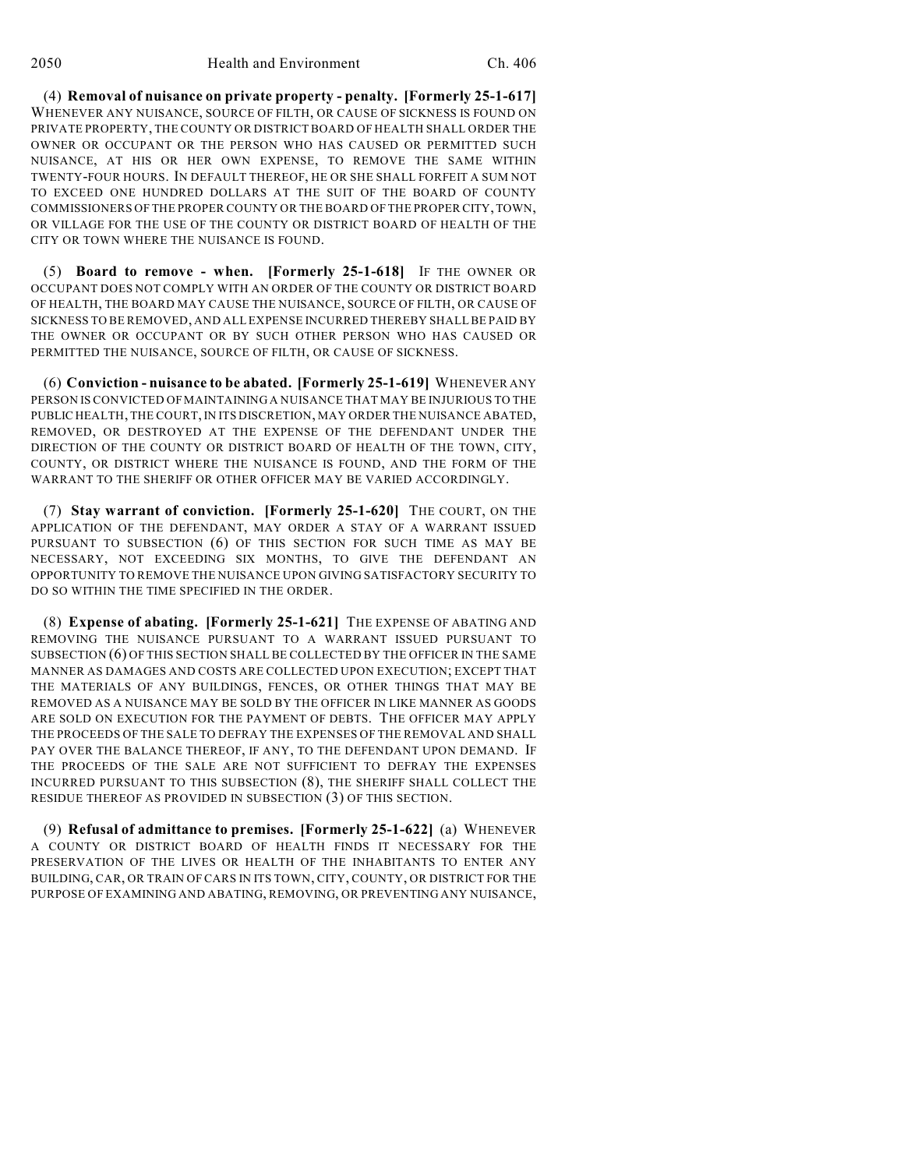(4) **Removal of nuisance on private property - penalty. [Formerly 25-1-617]** WHENEVER ANY NUISANCE, SOURCE OF FILTH, OR CAUSE OF SICKNESS IS FOUND ON PRIVATE PROPERTY, THE COUNTY OR DISTRICT BOARD OF HEALTH SHALL ORDER THE OWNER OR OCCUPANT OR THE PERSON WHO HAS CAUSED OR PERMITTED SUCH NUISANCE, AT HIS OR HER OWN EXPENSE, TO REMOVE THE SAME WITHIN TWENTY-FOUR HOURS. IN DEFAULT THEREOF, HE OR SHE SHALL FORFEIT A SUM NOT TO EXCEED ONE HUNDRED DOLLARS AT THE SUIT OF THE BOARD OF COUNTY COMMISSIONERS OF THE PROPER COUNTY OR THE BOARD OF THE PROPER CITY, TOWN, OR VILLAGE FOR THE USE OF THE COUNTY OR DISTRICT BOARD OF HEALTH OF THE CITY OR TOWN WHERE THE NUISANCE IS FOUND.

(5) **Board to remove - when. [Formerly 25-1-618]** IF THE OWNER OR OCCUPANT DOES NOT COMPLY WITH AN ORDER OF THE COUNTY OR DISTRICT BOARD OF HEALTH, THE BOARD MAY CAUSE THE NUISANCE, SOURCE OF FILTH, OR CAUSE OF SICKNESS TO BE REMOVED, AND ALL EXPENSE INCURRED THEREBY SHALL BE PAID BY THE OWNER OR OCCUPANT OR BY SUCH OTHER PERSON WHO HAS CAUSED OR PERMITTED THE NUISANCE, SOURCE OF FILTH, OR CAUSE OF SICKNESS.

(6) **Conviction - nuisance to be abated. [Formerly 25-1-619]** WHENEVER ANY PERSON IS CONVICTED OF MAINTAINING A NUISANCE THAT MAY BE INJURIOUS TO THE PUBLIC HEALTH, THE COURT, IN ITS DISCRETION, MAY ORDER THE NUISANCE ABATED, REMOVED, OR DESTROYED AT THE EXPENSE OF THE DEFENDANT UNDER THE DIRECTION OF THE COUNTY OR DISTRICT BOARD OF HEALTH OF THE TOWN, CITY, COUNTY, OR DISTRICT WHERE THE NUISANCE IS FOUND, AND THE FORM OF THE WARRANT TO THE SHERIFF OR OTHER OFFICER MAY BE VARIED ACCORDINGLY.

(7) **Stay warrant of conviction. [Formerly 25-1-620]** THE COURT, ON THE APPLICATION OF THE DEFENDANT, MAY ORDER A STAY OF A WARRANT ISSUED PURSUANT TO SUBSECTION (6) OF THIS SECTION FOR SUCH TIME AS MAY BE NECESSARY, NOT EXCEEDING SIX MONTHS, TO GIVE THE DEFENDANT AN OPPORTUNITY TO REMOVE THE NUISANCE UPON GIVING SATISFACTORY SECURITY TO DO SO WITHIN THE TIME SPECIFIED IN THE ORDER.

(8) **Expense of abating. [Formerly 25-1-621]** THE EXPENSE OF ABATING AND REMOVING THE NUISANCE PURSUANT TO A WARRANT ISSUED PURSUANT TO SUBSECTION (6) OF THIS SECTION SHALL BE COLLECTED BY THE OFFICER IN THE SAME MANNER AS DAMAGES AND COSTS ARE COLLECTED UPON EXECUTION; EXCEPT THAT THE MATERIALS OF ANY BUILDINGS, FENCES, OR OTHER THINGS THAT MAY BE REMOVED AS A NUISANCE MAY BE SOLD BY THE OFFICER IN LIKE MANNER AS GOODS ARE SOLD ON EXECUTION FOR THE PAYMENT OF DEBTS. THE OFFICER MAY APPLY THE PROCEEDS OF THE SALE TO DEFRAY THE EXPENSES OF THE REMOVAL AND SHALL PAY OVER THE BALANCE THEREOF, IF ANY, TO THE DEFENDANT UPON DEMAND. IF THE PROCEEDS OF THE SALE ARE NOT SUFFICIENT TO DEFRAY THE EXPENSES INCURRED PURSUANT TO THIS SUBSECTION (8), THE SHERIFF SHALL COLLECT THE RESIDUE THEREOF AS PROVIDED IN SUBSECTION (3) OF THIS SECTION.

(9) **Refusal of admittance to premises. [Formerly 25-1-622]** (a) WHENEVER A COUNTY OR DISTRICT BOARD OF HEALTH FINDS IT NECESSARY FOR THE PRESERVATION OF THE LIVES OR HEALTH OF THE INHABITANTS TO ENTER ANY BUILDING, CAR, OR TRAIN OFCARS IN ITS TOWN, CITY, COUNTY, OR DISTRICT FOR THE PURPOSE OF EXAMINING AND ABATING, REMOVING, OR PREVENTING ANY NUISANCE,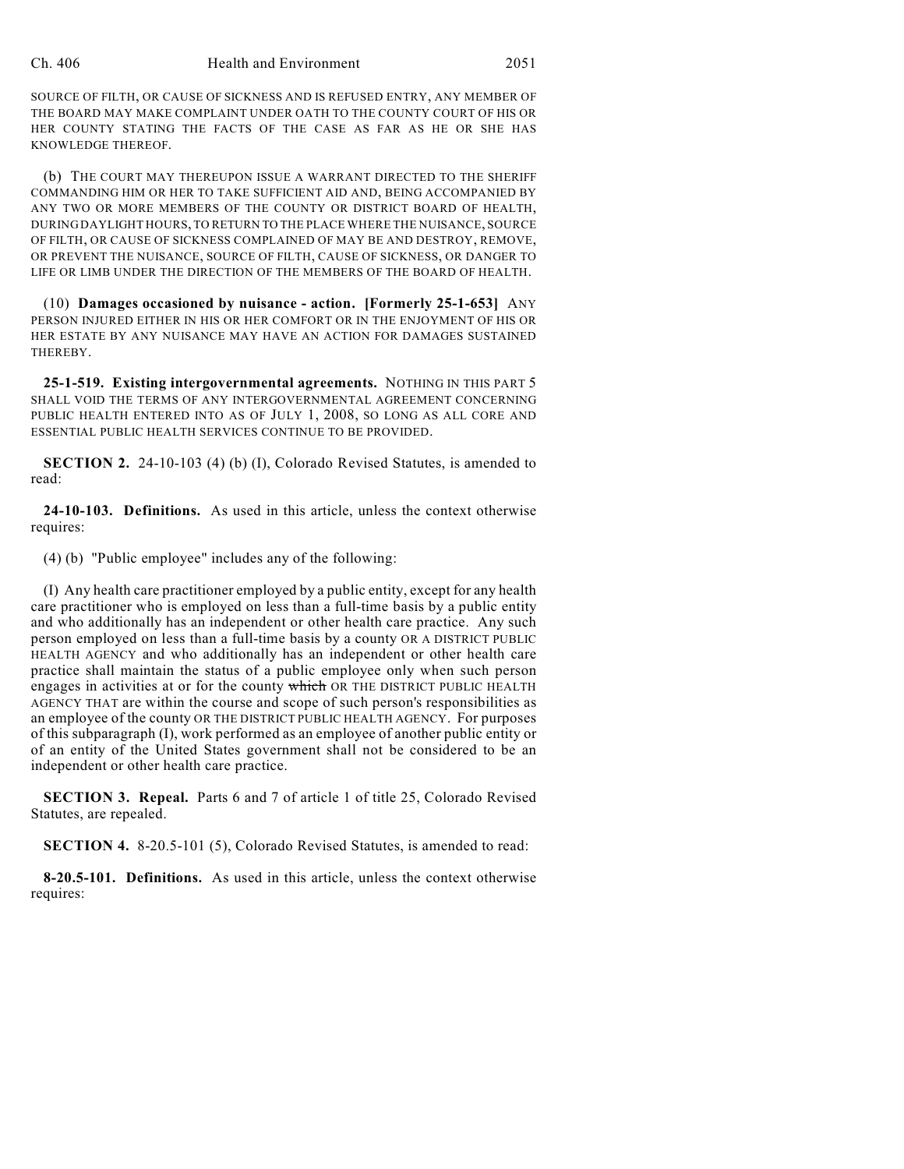SOURCE OF FILTH, OR CAUSE OF SICKNESS AND IS REFUSED ENTRY, ANY MEMBER OF THE BOARD MAY MAKE COMPLAINT UNDER OATH TO THE COUNTY COURT OF HIS OR HER COUNTY STATING THE FACTS OF THE CASE AS FAR AS HE OR SHE HAS KNOWLEDGE THEREOF.

(b) THE COURT MAY THEREUPON ISSUE A WARRANT DIRECTED TO THE SHERIFF COMMANDING HIM OR HER TO TAKE SUFFICIENT AID AND, BEING ACCOMPANIED BY ANY TWO OR MORE MEMBERS OF THE COUNTY OR DISTRICT BOARD OF HEALTH, DURING DAYLIGHT HOURS, TO RETURN TO THE PLACE WHERE THE NUISANCE, SOURCE OF FILTH, OR CAUSE OF SICKNESS COMPLAINED OF MAY BE AND DESTROY, REMOVE, OR PREVENT THE NUISANCE, SOURCE OF FILTH, CAUSE OF SICKNESS, OR DANGER TO LIFE OR LIMB UNDER THE DIRECTION OF THE MEMBERS OF THE BOARD OF HEALTH.

(10) **Damages occasioned by nuisance - action. [Formerly 25-1-653]** ANY PERSON INJURED EITHER IN HIS OR HER COMFORT OR IN THE ENJOYMENT OF HIS OR HER ESTATE BY ANY NUISANCE MAY HAVE AN ACTION FOR DAMAGES SUSTAINED THEREBY.

**25-1-519. Existing intergovernmental agreements.** NOTHING IN THIS PART 5 SHALL VOID THE TERMS OF ANY INTERGOVERNMENTAL AGREEMENT CONCERNING PUBLIC HEALTH ENTERED INTO AS OF JULY 1, 2008, SO LONG AS ALL CORE AND ESSENTIAL PUBLIC HEALTH SERVICES CONTINUE TO BE PROVIDED.

**SECTION 2.** 24-10-103 (4) (b) (I), Colorado Revised Statutes, is amended to read:

**24-10-103. Definitions.** As used in this article, unless the context otherwise requires:

(4) (b) "Public employee" includes any of the following:

(I) Any health care practitioner employed by a public entity, except for any health care practitioner who is employed on less than a full-time basis by a public entity and who additionally has an independent or other health care practice. Any such person employed on less than a full-time basis by a county OR A DISTRICT PUBLIC HEALTH AGENCY and who additionally has an independent or other health care practice shall maintain the status of a public employee only when such person engages in activities at or for the county which OR THE DISTRICT PUBLIC HEALTH AGENCY THAT are within the course and scope of such person's responsibilities as an employee of the county OR THE DISTRICT PUBLIC HEALTH AGENCY. For purposes of this subparagraph (I), work performed as an employee of another public entity or of an entity of the United States government shall not be considered to be an independent or other health care practice.

**SECTION 3. Repeal.** Parts 6 and 7 of article 1 of title 25, Colorado Revised Statutes, are repealed.

**SECTION 4.** 8-20.5-101 (5), Colorado Revised Statutes, is amended to read:

**8-20.5-101. Definitions.** As used in this article, unless the context otherwise requires: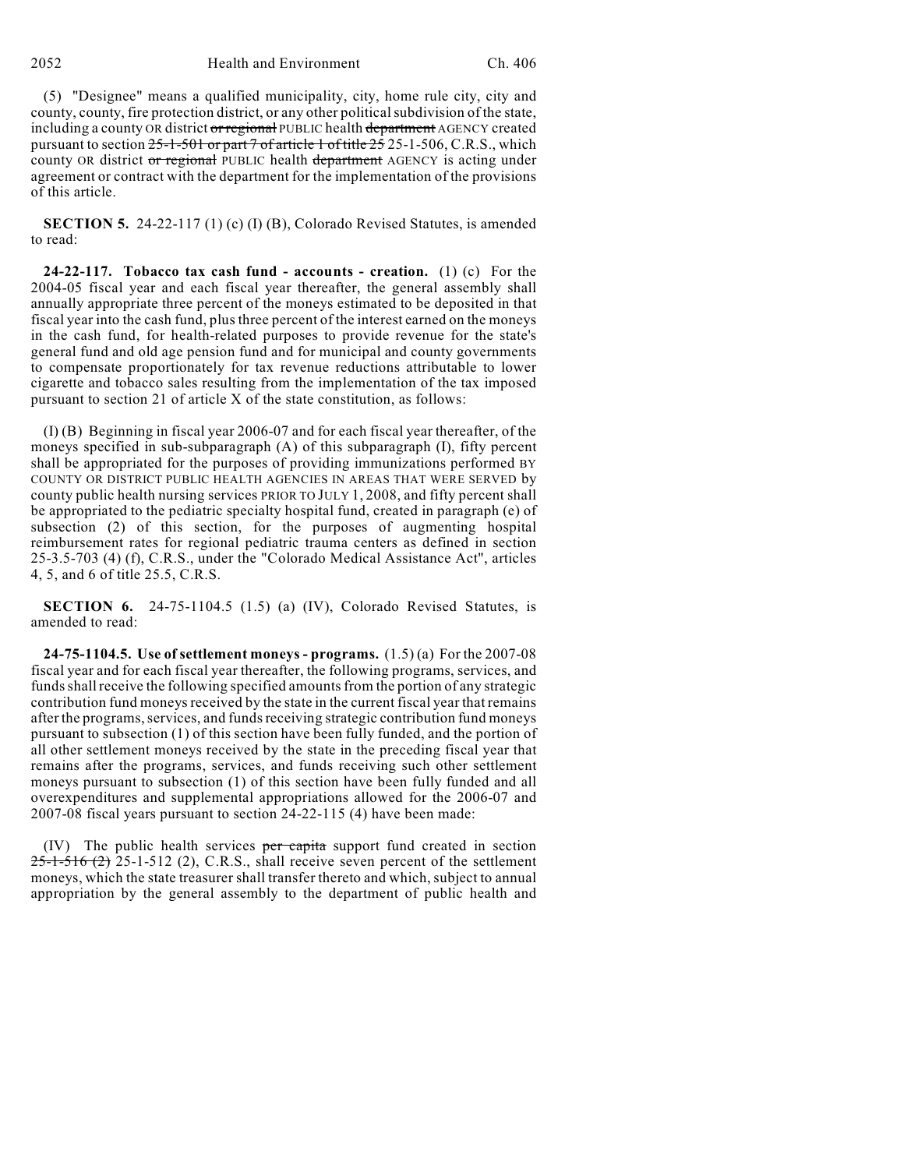(5) "Designee" means a qualified municipality, city, home rule city, city and county, county, fire protection district, or any other political subdivision of the state, including a county OR district or regional PUBLIC health department AGENCY created pursuant to section 25-1-501 or part 7 of article 1 of title 25 25-1-506, C.R.S., which county OR district or regional PUBLIC health department AGENCY is acting under agreement or contract with the department for the implementation of the provisions of this article.

**SECTION 5.** 24-22-117 (1) (c) (I) (B), Colorado Revised Statutes, is amended to read:

**24-22-117. Tobacco tax cash fund - accounts - creation.** (1) (c) For the 2004-05 fiscal year and each fiscal year thereafter, the general assembly shall annually appropriate three percent of the moneys estimated to be deposited in that fiscal year into the cash fund, plus three percent of the interest earned on the moneys in the cash fund, for health-related purposes to provide revenue for the state's general fund and old age pension fund and for municipal and county governments to compensate proportionately for tax revenue reductions attributable to lower cigarette and tobacco sales resulting from the implementation of the tax imposed pursuant to section 21 of article X of the state constitution, as follows:

(I) (B) Beginning in fiscal year 2006-07 and for each fiscal year thereafter, of the moneys specified in sub-subparagraph (A) of this subparagraph (I), fifty percent shall be appropriated for the purposes of providing immunizations performed BY COUNTY OR DISTRICT PUBLIC HEALTH AGENCIES IN AREAS THAT WERE SERVED by county public health nursing services PRIOR TO JULY 1, 2008, and fifty percent shall be appropriated to the pediatric specialty hospital fund, created in paragraph (e) of subsection (2) of this section, for the purposes of augmenting hospital reimbursement rates for regional pediatric trauma centers as defined in section 25-3.5-703 (4) (f), C.R.S., under the "Colorado Medical Assistance Act", articles 4, 5, and 6 of title 25.5, C.R.S.

**SECTION 6.** 24-75-1104.5 (1.5) (a) (IV), Colorado Revised Statutes, is amended to read:

**24-75-1104.5. Use of settlement moneys - programs.** (1.5) (a) For the 2007-08 fiscal year and for each fiscal year thereafter, the following programs, services, and funds shall receive the following specified amounts from the portion of any strategic contribution fund moneys received by the state in the current fiscal year that remains after the programs, services, and funds receiving strategic contribution fund moneys pursuant to subsection (1) of this section have been fully funded, and the portion of all other settlement moneys received by the state in the preceding fiscal year that remains after the programs, services, and funds receiving such other settlement moneys pursuant to subsection (1) of this section have been fully funded and all overexpenditures and supplemental appropriations allowed for the 2006-07 and 2007-08 fiscal years pursuant to section 24-22-115 (4) have been made:

 $(IV)$  The public health services per capita support fund created in section  $25-1-516$  (2) 25-1-512 (2), C.R.S., shall receive seven percent of the settlement moneys, which the state treasurer shall transfer thereto and which, subject to annual appropriation by the general assembly to the department of public health and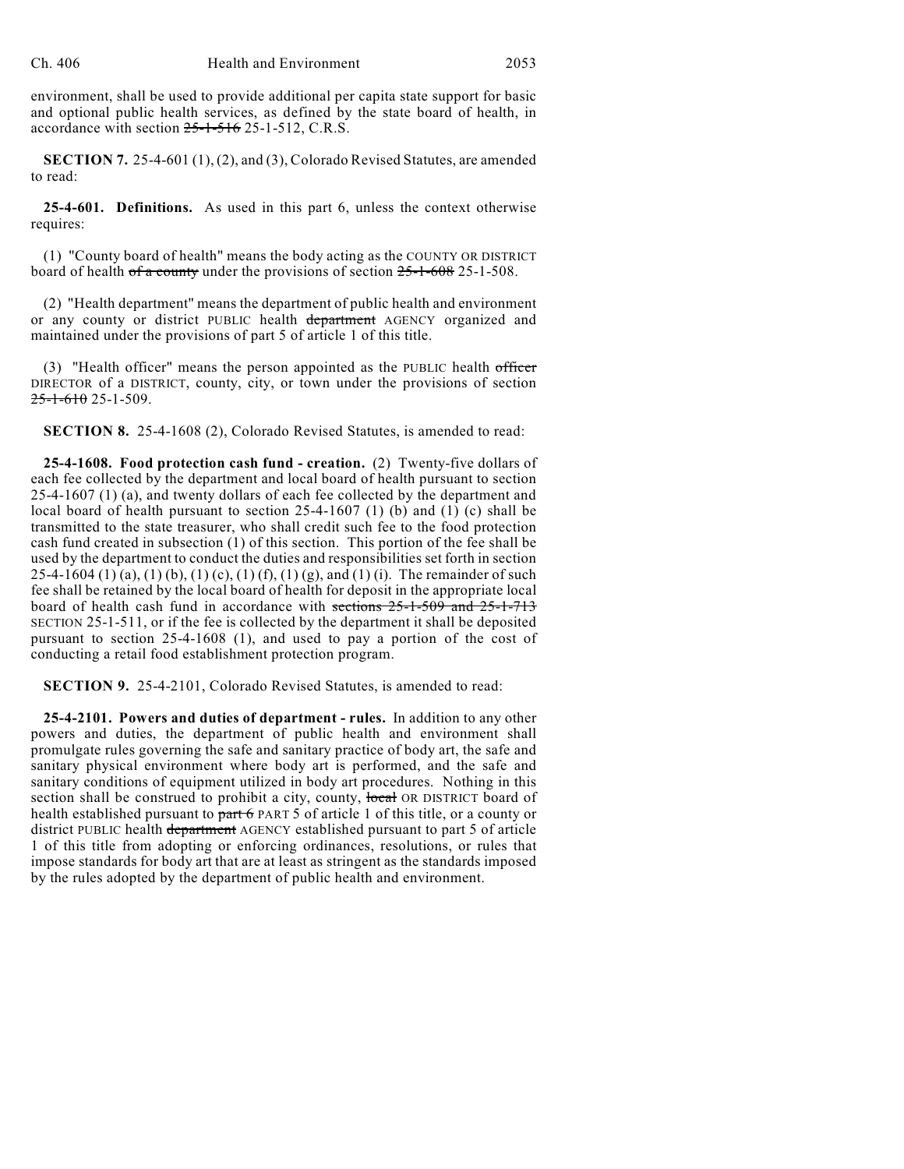environment, shall be used to provide additional per capita state support for basic and optional public health services, as defined by the state board of health, in accordance with section  $25$ -1-516 25-1-512, C.R.S.

**SECTION 7.** 25-4-601 (1), (2), and (3), Colorado Revised Statutes, are amended to read:

**25-4-601. Definitions.** As used in this part 6, unless the context otherwise requires:

(1) "County board of health" means the body acting as the COUNTY OR DISTRICT board of health of a county under the provisions of section  $25$ -1-608 25-1-508.

(2) "Health department" means the department of public health and environment or any county or district PUBLIC health department AGENCY organized and maintained under the provisions of part 5 of article 1 of this title.

(3) "Health officer" means the person appointed as the PUBLIC health officer DIRECTOR of a DISTRICT, county, city, or town under the provisions of section  $25-1-610$  25-1-509.

**SECTION 8.** 25-4-1608 (2), Colorado Revised Statutes, is amended to read:

**25-4-1608. Food protection cash fund - creation.** (2) Twenty-five dollars of each fee collected by the department and local board of health pursuant to section 25-4-1607 (1) (a), and twenty dollars of each fee collected by the department and local board of health pursuant to section  $25-4-1607$  (1) (b) and (1) (c) shall be transmitted to the state treasurer, who shall credit such fee to the food protection cash fund created in subsection (1) of this section. This portion of the fee shall be used by the department to conduct the duties and responsibilities set forth in section 25-4-1604 (1) (a), (1) (b), (1) (c), (1) (f), (1) (g), and (1) (i). The remainder of such fee shall be retained by the local board of health for deposit in the appropriate local board of health cash fund in accordance with sections 25-1-509 and 25-1-713 SECTION 25-1-511, or if the fee is collected by the department it shall be deposited pursuant to section 25-4-1608 (1), and used to pay a portion of the cost of conducting a retail food establishment protection program.

**SECTION 9.** 25-4-2101, Colorado Revised Statutes, is amended to read:

**25-4-2101. Powers and duties of department - rules.** In addition to any other powers and duties, the department of public health and environment shall promulgate rules governing the safe and sanitary practice of body art, the safe and sanitary physical environment where body art is performed, and the safe and sanitary conditions of equipment utilized in body art procedures. Nothing in this section shall be construed to prohibit a city, county, local OR DISTRICT board of health established pursuant to part 6 PART 5 of article 1 of this title, or a county or district PUBLIC health department AGENCY established pursuant to part 5 of article 1 of this title from adopting or enforcing ordinances, resolutions, or rules that impose standards for body art that are at least as stringent as the standards imposed by the rules adopted by the department of public health and environment.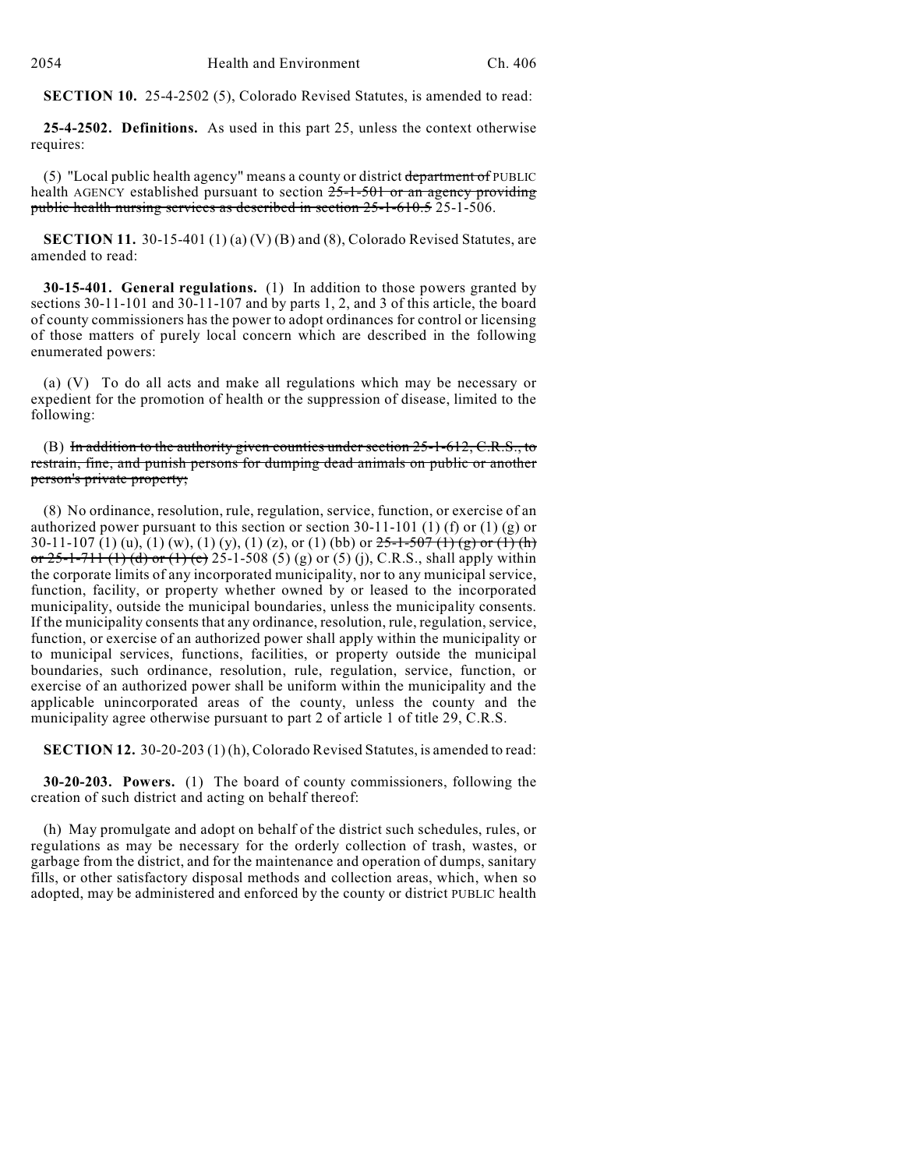**SECTION 10.** 25-4-2502 (5), Colorado Revised Statutes, is amended to read:

**25-4-2502. Definitions.** As used in this part 25, unless the context otherwise requires:

(5) "Local public health agency" means a county or district department of PUBLIC health AGENCY established pursuant to section 25-1-501 or an agency providing public health nursing services as described in section 25-1-610.5 25-1-506.

**SECTION 11.** 30-15-401 (1) (a) (V) (B) and (8), Colorado Revised Statutes, are amended to read:

**30-15-401. General regulations.** (1) In addition to those powers granted by sections 30-11-101 and 30-11-107 and by parts 1, 2, and 3 of this article, the board of county commissioners has the power to adopt ordinances for control or licensing of those matters of purely local concern which are described in the following enumerated powers:

(a) (V) To do all acts and make all regulations which may be necessary or expedient for the promotion of health or the suppression of disease, limited to the following:

(B) In addition to the authority given counties under section  $25$ -1-612, C.R.S., to restrain, fine, and punish persons for dumping dead animals on public or another person's private property;

(8) No ordinance, resolution, rule, regulation, service, function, or exercise of an authorized power pursuant to this section or section 30-11-101 (1) (f) or (1) (g) or 30-11-107 (1) (u), (1) (w), (1) (y), (1) (z), or (1) (bb) or  $25-1-507$  (1) (g) or (1) (h) or  $25-1-711$  (1) (d) or (1) (e)  $25-1-508$  (5) (g) or (5) (j), C.R.S., shall apply within the corporate limits of any incorporated municipality, nor to any municipal service, function, facility, or property whether owned by or leased to the incorporated municipality, outside the municipal boundaries, unless the municipality consents. If the municipality consents that any ordinance, resolution, rule, regulation, service, function, or exercise of an authorized power shall apply within the municipality or to municipal services, functions, facilities, or property outside the municipal boundaries, such ordinance, resolution, rule, regulation, service, function, or exercise of an authorized power shall be uniform within the municipality and the applicable unincorporated areas of the county, unless the county and the municipality agree otherwise pursuant to part 2 of article 1 of title 29, C.R.S.

**SECTION 12.** 30-20-203 (1) (h), Colorado Revised Statutes, is amended to read:

**30-20-203. Powers.** (1) The board of county commissioners, following the creation of such district and acting on behalf thereof:

(h) May promulgate and adopt on behalf of the district such schedules, rules, or regulations as may be necessary for the orderly collection of trash, wastes, or garbage from the district, and for the maintenance and operation of dumps, sanitary fills, or other satisfactory disposal methods and collection areas, which, when so adopted, may be administered and enforced by the county or district PUBLIC health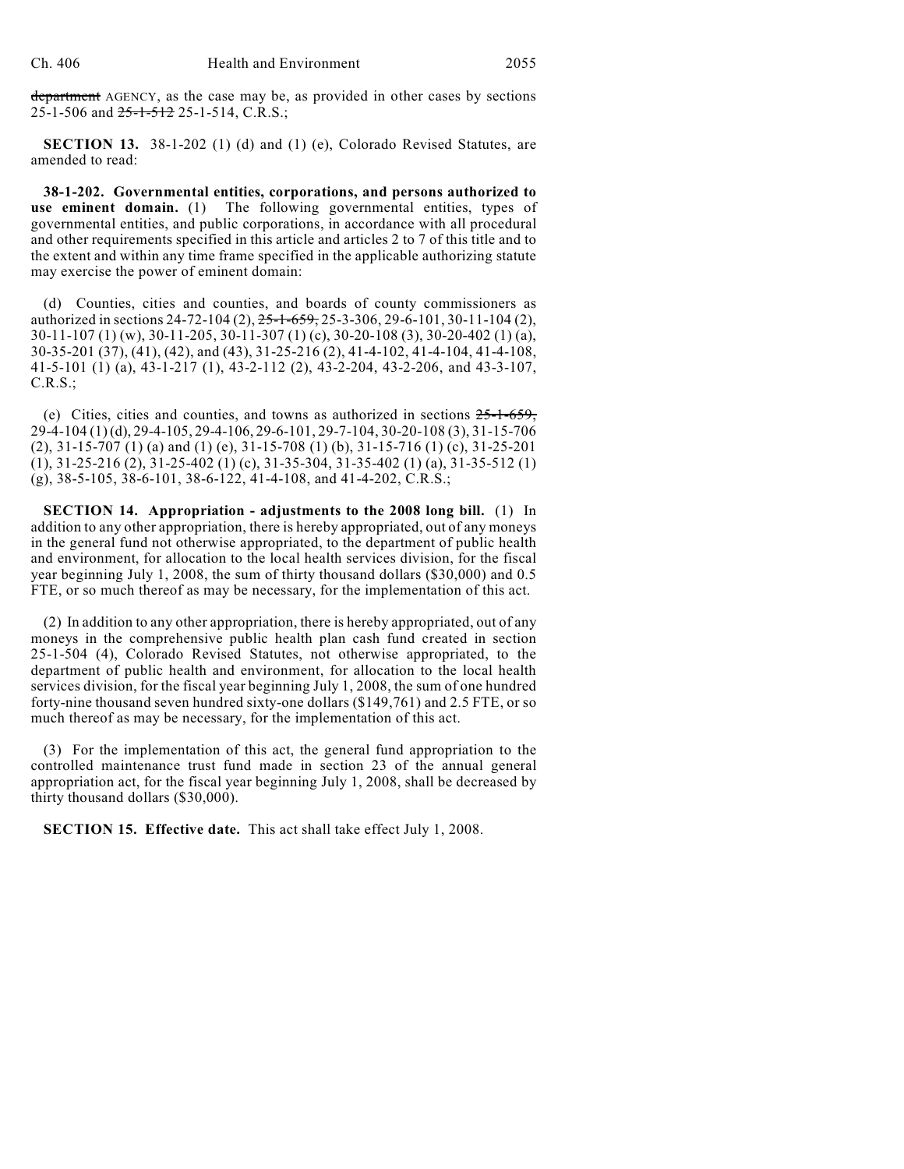department AGENCY, as the case may be, as provided in other cases by sections 25-1-506 and 25-1-512 25-1-514, C.R.S.;

**SECTION 13.** 38-1-202 (1) (d) and (1) (e), Colorado Revised Statutes, are amended to read:

**38-1-202. Governmental entities, corporations, and persons authorized to use eminent domain.** (1) The following governmental entities, types of governmental entities, and public corporations, in accordance with all procedural and other requirements specified in this article and articles 2 to 7 of this title and to the extent and within any time frame specified in the applicable authorizing statute may exercise the power of eminent domain:

(d) Counties, cities and counties, and boards of county commissioners as authorized in sections 24-72-104 (2),  $25$ -1-659, 25-3-306, 29-6-101, 30-11-104 (2), 30-11-107 (1) (w), 30-11-205, 30-11-307 (1) (c), 30-20-108 (3), 30-20-402 (1) (a), 30-35-201 (37), (41), (42), and (43), 31-25-216 (2), 41-4-102, 41-4-104, 41-4-108, 41-5-101 (1) (a), 43-1-217 (1), 43-2-112 (2), 43-2-204, 43-2-206, and 43-3-107, C.R.S.;

(e) Cities, cities and counties, and towns as authorized in sections 25-1-659, 29-4-104 (1) (d), 29-4-105, 29-4-106, 29-6-101, 29-7-104, 30-20-108 (3), 31-15-706 (2), 31-15-707 (1) (a) and (1) (e), 31-15-708 (1) (b), 31-15-716 (1) (c), 31-25-201 (1), 31-25-216 (2), 31-25-402 (1) (c), 31-35-304, 31-35-402 (1) (a), 31-35-512 (1) (g), 38-5-105, 38-6-101, 38-6-122, 41-4-108, and 41-4-202, C.R.S.;

**SECTION 14. Appropriation - adjustments to the 2008 long bill.** (1) In addition to any other appropriation, there is hereby appropriated, out of any moneys in the general fund not otherwise appropriated, to the department of public health and environment, for allocation to the local health services division, for the fiscal year beginning July 1, 2008, the sum of thirty thousand dollars (\$30,000) and 0.5 FTE, or so much thereof as may be necessary, for the implementation of this act.

(2) In addition to any other appropriation, there is hereby appropriated, out of any moneys in the comprehensive public health plan cash fund created in section 25-1-504 (4), Colorado Revised Statutes, not otherwise appropriated, to the department of public health and environment, for allocation to the local health services division, for the fiscal year beginning July 1, 2008, the sum of one hundred forty-nine thousand seven hundred sixty-one dollars (\$149,761) and 2.5 FTE, or so much thereof as may be necessary, for the implementation of this act.

(3) For the implementation of this act, the general fund appropriation to the controlled maintenance trust fund made in section 23 of the annual general appropriation act, for the fiscal year beginning July 1, 2008, shall be decreased by thirty thousand dollars (\$30,000).

**SECTION 15. Effective date.** This act shall take effect July 1, 2008.